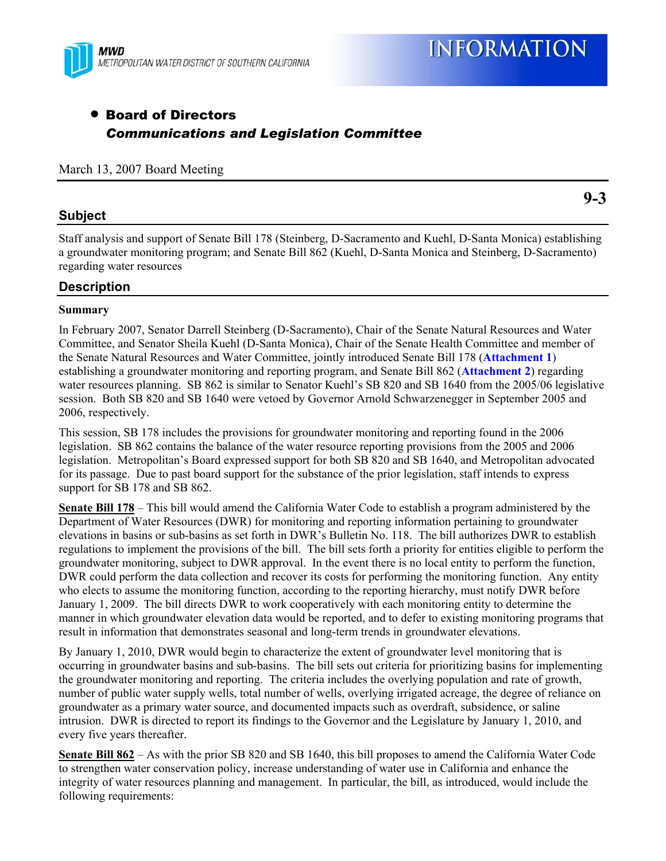

**9-3** 

# • Board of Directors *Communications and Legislation Committee*

## March 13, 2007 Board Meeting

## **Subject**

Staff analysis and support of Senate Bill 178 (Steinberg, D-Sacramento and Kuehl, D-Santa Monica) establishing a groundwater monitoring program; and Senate Bill 862 (Kuehl, D-Santa Monica and Steinberg, D-Sacramento) regarding water resources

## **Description**

## **Summary**

In February 2007, Senator Darrell Steinberg (D-Sacramento), Chair of the Senate Natural Resources and Water Committee, and Senator Sheila Kuehl (D-Santa Monica), Chair of the Senate Health Committee and member of the Senate Natural Resources and Water Committee, jointly introduced Senate Bill 178 (**Attachment 1**) establishing a groundwater monitoring and reporting program, and Senate Bill 862 (**Attachment 2**) regarding water resources planning. SB 862 is similar to Senator Kuehl's SB 820 and SB 1640 from the 2005/06 legislative session. Both SB 820 and SB 1640 were vetoed by Governor Arnold Schwarzenegger in September 2005 and 2006, respectively.

This session, SB 178 includes the provisions for groundwater monitoring and reporting found in the 2006 legislation. SB 862 contains the balance of the water resource reporting provisions from the 2005 and 2006 legislation. Metropolitan's Board expressed support for both SB 820 and SB 1640, and Metropolitan advocated for its passage. Due to past board support for the substance of the prior legislation, staff intends to express support for SB 178 and SB 862.

**Senate Bill 178** – This bill would amend the California Water Code to establish a program administered by the Department of Water Resources (DWR) for monitoring and reporting information pertaining to groundwater elevations in basins or sub-basins as set forth in DWR's Bulletin No. 118. The bill authorizes DWR to establish regulations to implement the provisions of the bill. The bill sets forth a priority for entities eligible to perform the groundwater monitoring, subject to DWR approval. In the event there is no local entity to perform the function, DWR could perform the data collection and recover its costs for performing the monitoring function. Any entity who elects to assume the monitoring function, according to the reporting hierarchy, must notify DWR before January 1, 2009. The bill directs DWR to work cooperatively with each monitoring entity to determine the manner in which groundwater elevation data would be reported, and to defer to existing monitoring programs that result in information that demonstrates seasonal and long-term trends in groundwater elevations.

By January 1, 2010, DWR would begin to characterize the extent of groundwater level monitoring that is occurring in groundwater basins and sub-basins. The bill sets out criteria for prioritizing basins for implementing the groundwater monitoring and reporting. The criteria includes the overlying population and rate of growth, number of public water supply wells, total number of wells, overlying irrigated acreage, the degree of reliance on groundwater as a primary water source, and documented impacts such as overdraft, subsidence, or saline intrusion. DWR is directed to report its findings to the Governor and the Legislature by January 1, 2010, and every five years thereafter.

**Senate Bill 862** – As with the prior SB 820 and SB 1640, this bill proposes to amend the California Water Code to strengthen water conservation policy, increase understanding of water use in California and enhance the integrity of water resources planning and management. In particular, the bill, as introduced, would include the following requirements: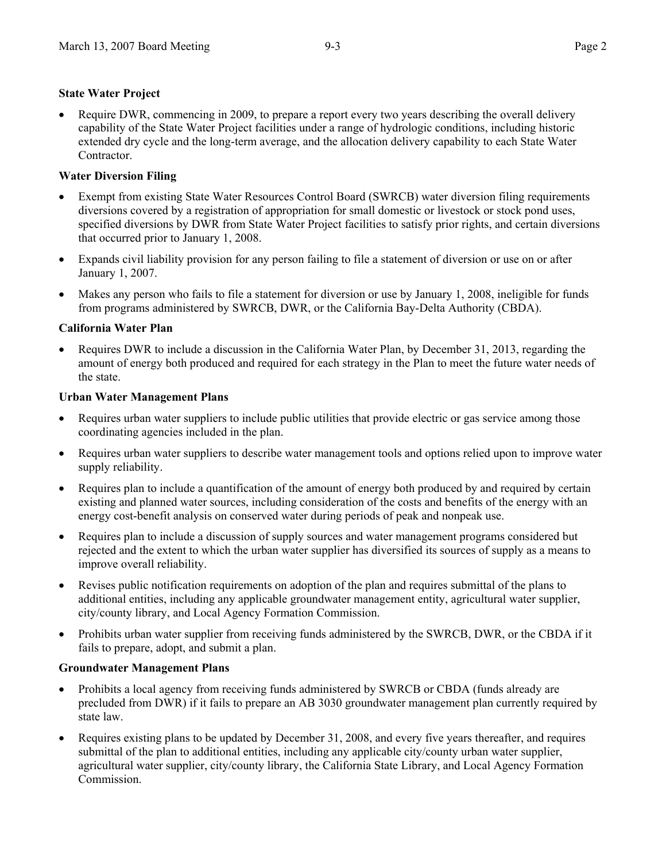## **State Water Project**

• Require DWR, commencing in 2009, to prepare a report every two years describing the overall delivery capability of the State Water Project facilities under a range of hydrologic conditions, including historic extended dry cycle and the long-term average, and the allocation delivery capability to each State Water Contractor.

## **Water Diversion Filing**

- Exempt from existing State Water Resources Control Board (SWRCB) water diversion filing requirements diversions covered by a registration of appropriation for small domestic or livestock or stock pond uses, specified diversions by DWR from State Water Project facilities to satisfy prior rights, and certain diversions that occurred prior to January 1, 2008.
- Expands civil liability provision for any person failing to file a statement of diversion or use on or after January 1, 2007.
- Makes any person who fails to file a statement for diversion or use by January 1, 2008, ineligible for funds from programs administered by SWRCB, DWR, or the California Bay-Delta Authority (CBDA).

## **California Water Plan**

• Requires DWR to include a discussion in the California Water Plan, by December 31, 2013, regarding the amount of energy both produced and required for each strategy in the Plan to meet the future water needs of the state.

## **Urban Water Management Plans**

- Requires urban water suppliers to include public utilities that provide electric or gas service among those coordinating agencies included in the plan.
- Requires urban water suppliers to describe water management tools and options relied upon to improve water supply reliability.
- Requires plan to include a quantification of the amount of energy both produced by and required by certain existing and planned water sources, including consideration of the costs and benefits of the energy with an energy cost-benefit analysis on conserved water during periods of peak and nonpeak use.
- Requires plan to include a discussion of supply sources and water management programs considered but rejected and the extent to which the urban water supplier has diversified its sources of supply as a means to improve overall reliability.
- Revises public notification requirements on adoption of the plan and requires submittal of the plans to additional entities, including any applicable groundwater management entity, agricultural water supplier, city/county library, and Local Agency Formation Commission.
- Prohibits urban water supplier from receiving funds administered by the SWRCB, DWR, or the CBDA if it fails to prepare, adopt, and submit a plan.

## **Groundwater Management Plans**

- Prohibits a local agency from receiving funds administered by SWRCB or CBDA (funds already are precluded from DWR) if it fails to prepare an AB 3030 groundwater management plan currently required by state law.
- Requires existing plans to be updated by December 31, 2008, and every five years thereafter, and requires submittal of the plan to additional entities, including any applicable city/county urban water supplier, agricultural water supplier, city/county library, the California State Library, and Local Agency Formation Commission.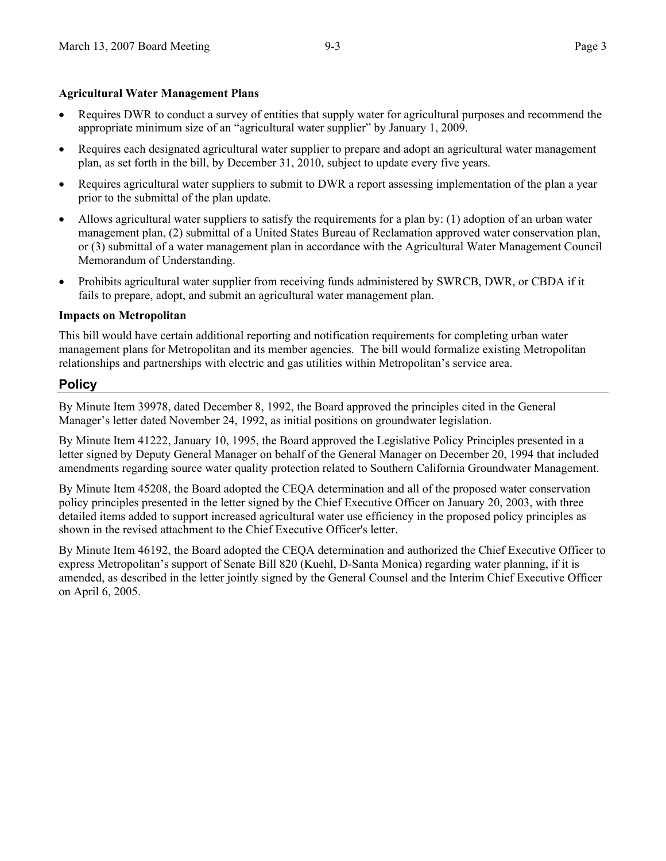## **Agricultural Water Management Plans**

- Requires DWR to conduct a survey of entities that supply water for agricultural purposes and recommend the appropriate minimum size of an "agricultural water supplier" by January 1, 2009.
- Requires each designated agricultural water supplier to prepare and adopt an agricultural water management plan, as set forth in the bill, by December 31, 2010, subject to update every five years.
- Requires agricultural water suppliers to submit to DWR a report assessing implementation of the plan a year prior to the submittal of the plan update.
- Allows agricultural water suppliers to satisfy the requirements for a plan by: (1) adoption of an urban water management plan, (2) submittal of a United States Bureau of Reclamation approved water conservation plan, or (3) submittal of a water management plan in accordance with the Agricultural Water Management Council Memorandum of Understanding.
- Prohibits agricultural water supplier from receiving funds administered by SWRCB, DWR, or CBDA if it fails to prepare, adopt, and submit an agricultural water management plan.

## **Impacts on Metropolitan**

This bill would have certain additional reporting and notification requirements for completing urban water management plans for Metropolitan and its member agencies. The bill would formalize existing Metropolitan relationships and partnerships with electric and gas utilities within Metropolitan's service area.

## **Policy**

By Minute Item 39978, dated December 8, 1992, the Board approved the principles cited in the General Manager's letter dated November 24, 1992, as initial positions on groundwater legislation.

By Minute Item 41222, January 10, 1995, the Board approved the Legislative Policy Principles presented in a letter signed by Deputy General Manager on behalf of the General Manager on December 20, 1994 that included amendments regarding source water quality protection related to Southern California Groundwater Management.

By Minute Item 45208, the Board adopted the CEQA determination and all of the proposed water conservation policy principles presented in the letter signed by the Chief Executive Officer on January 20, 2003, with three detailed items added to support increased agricultural water use efficiency in the proposed policy principles as shown in the revised attachment to the Chief Executive Officer's letter.

By Minute Item 46192, the Board adopted the CEQA determination and authorized the Chief Executive Officer to express Metropolitan's support of Senate Bill 820 (Kuehl, D-Santa Monica) regarding water planning, if it is amended, as described in the letter jointly signed by the General Counsel and the Interim Chief Executive Officer on April 6, 2005.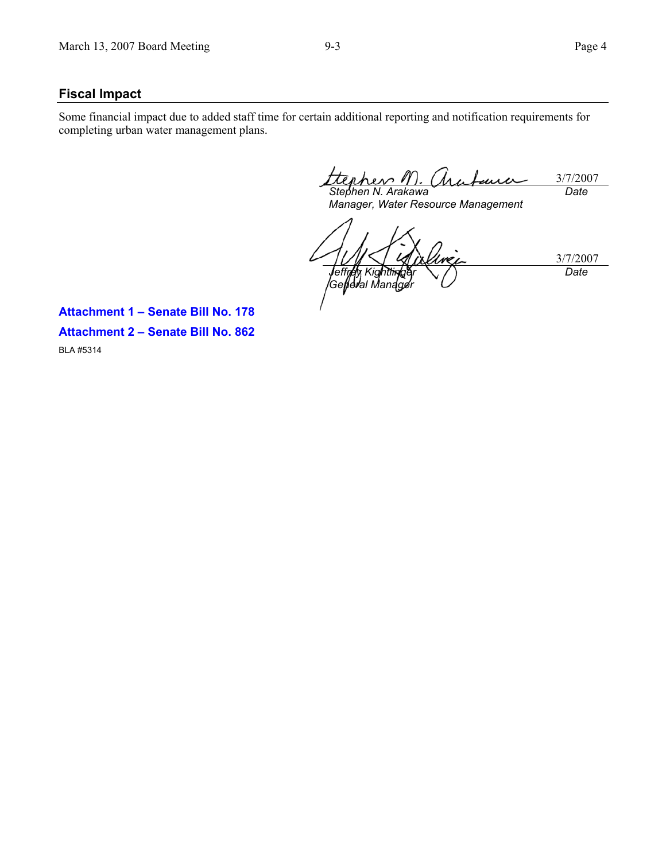## **Fiscal Impact**

Some financial impact due to added staff time for certain additional reporting and notification requirements for completing urban water management plans.

erher 3/7/2007 *Stephen N. Arakawa Date* 

*Manager, Water Resource Management* 

3/7/2007 *Jeffrey Kightlinger Geljeral Managér Date* 

**Attachment 1 – Senate Bill No. 178 Attachment 2 – Senate Bill No. 862**  BLA #5314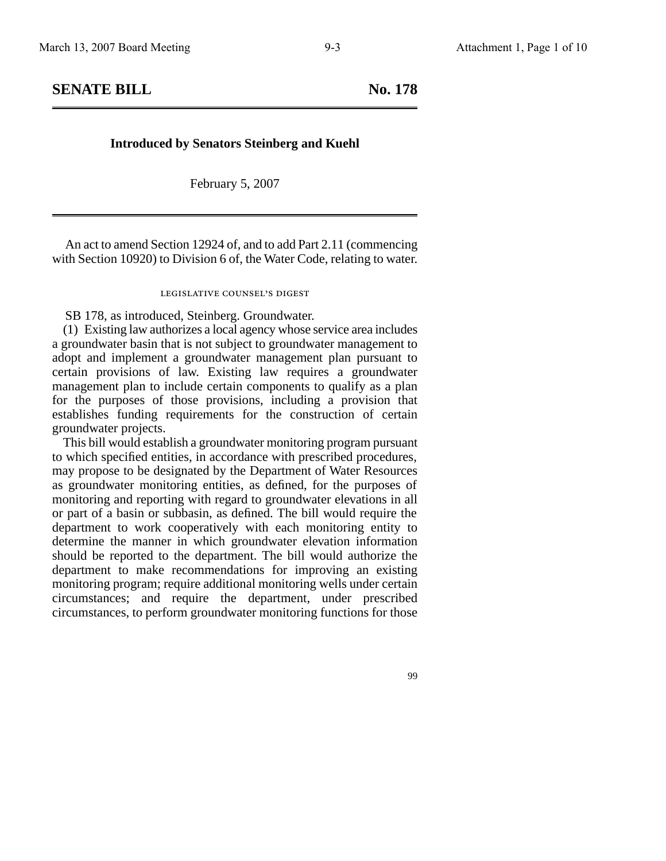**SENATE BILL** No. 178

### **Introduced by Senators Steinberg and Kuehl**

February 5, 2007

An act to amend Section 12924 of, and to add Part 2.11 (commencing with Section 10920) to Division 6 of, the Water Code, relating to water.

## legislative counsel' s digest

SB 178, as introduced, Steinberg. Groundwater.

(1) Existing law authorizes a local agency whose service area includes a groundwater basin that is not subject to groundwater management to adopt and implement a groundwater management plan pursuant to certain provisions of law. Existing law requires a groundwater management plan to include certain components to qualify as a plan for the purposes of those provisions, including a provision that establishes funding requirements for the construction of certain groundwater projects.

This bill would establish a groundwater monitoring program pursuant to which specified entities, in accordance with prescribed procedures, may propose to be designated by the Department of Water Resources as groundwater monitoring entities, as defined, for the purposes of monitoring and reporting with regard to groundwater elevations in all or part of a basin or subbasin, as defined. The bill would require the department to work cooperatively with each monitoring entity to determine the manner in which groundwater elevation information should be reported to the department. The bill would authorize the department to make recommendations for improving an existing monitoring program; require additional monitoring wells under certain circumstances; and require the department, under prescribed circumstances, to perform groundwater monitoring functions for those

99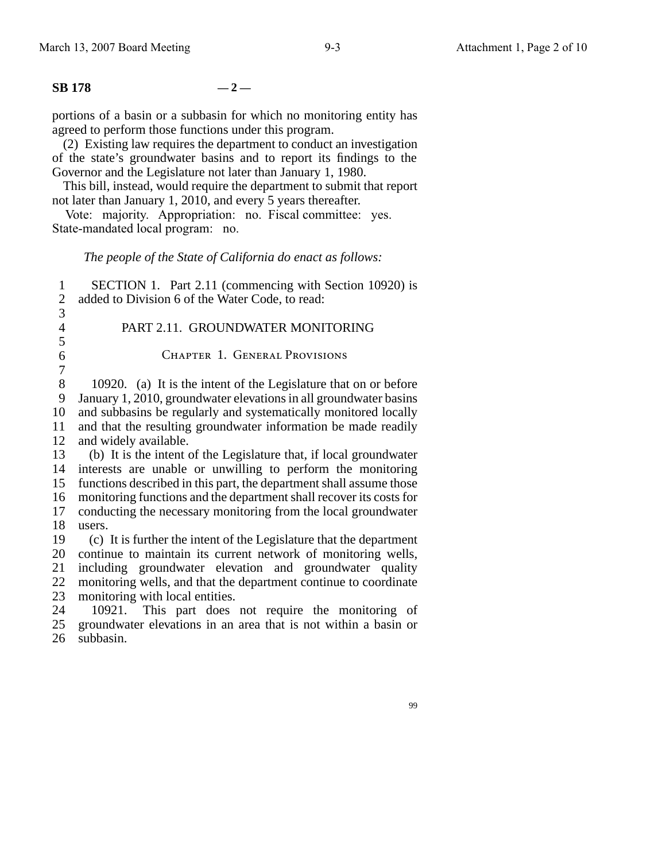# **SB** 178  $-2-$

portions of a basin or a subbasin for which no monitoring entity has agreed to perform those functions under this program.

(2) Existing law requires the department to conduct an investigation of the state's groundwater basins and to report its findings to the Governor and the Legislature not later than January 1, 1980.

This bill, instead, would require the department to submit that report not later than January 1, 2010, and every 5 years thereafter.

Vote: majority. Appropriation: no. Fiscal committee: yes. State-mandated local program: no.

### *The people of the State of California do enact as follows:*

1  $\mathfrak{D}$ 3 4 5 6 7 8 9 10 11 12 13 14 interests are unable or unwilling to perform the monitoring 15 16 17 18 19 20 continue to maintain its current network of monitoring wells, 21 22 23 SECTION 1. Part 2.11 (commencing with Section 10920) is added to Division 6 of the Water Code, to read: PART 2.11. GROUNDWATER MONITORING Chapter 1. General Provisions 10920. (a) It is the intent of the Legislature that on or before January 1, 2010, groundwater elevations in all groundwater basins and subbasins be regularly and systematically monitored locally and that the resulting groundwater information be made readily and widely available. (b) It is the intent of the Legislature that, if local groundwater functions described in this part, the department shall assume those monitoring functions and the department shall recover its costs for conducting the necessary monitoring from the local groundwater users. (c) It is further the intent of the Legislature that the department including groundwater elevation and groundwater quality monitoring wells, and that the department continue to coordinate monitoring with local entities.

24 25 26 10921. This part does not require the monitoring of groundwater elevations in an area that is not within a basin or subbasin.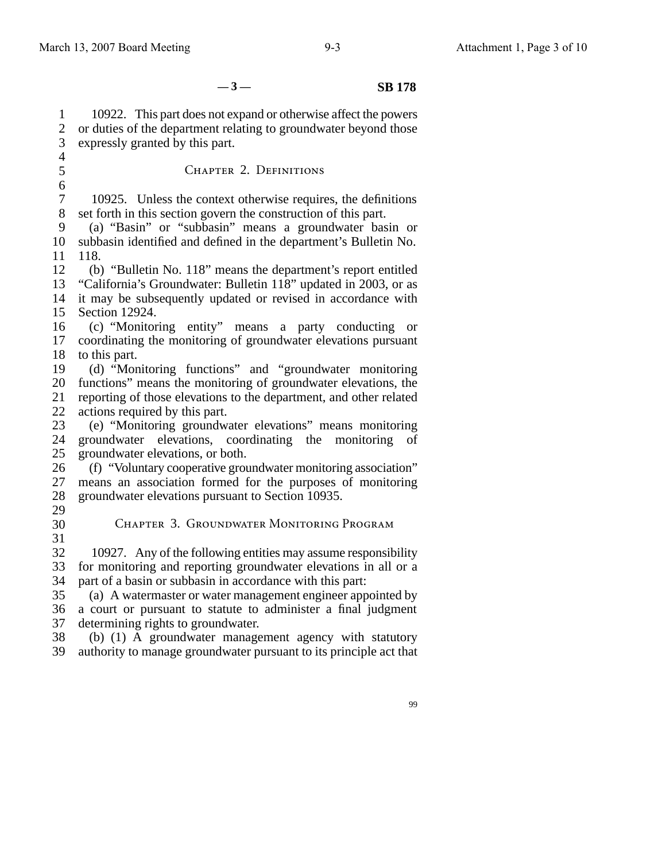$-3 -$  **SB 178** 

1 2 3 10922. This part does not expand or otherwise affect the powers or duties of the department relating to groundwater beyond those expressly granted by this part.

4 5 6 7 8 9 10 11 12 13 14 15 16 17 18 19 20 functions" means the monitoring of groundwater elevations, the 21 22 23 24 25 26 27 28 29 30 31 32 33 34 35 36 37 CHAPTER 2. DEFINITIONS 10925. Unless the context otherwise requires, the definitions set forth in this section govern the construction of this part. (a) "Basin" or "subbasin" means a groundwater basin or subbasin identified and defined in the department's Bulletin No. 118. (b) "Bulletin No. 118" means the department's report entitled "California's Groundwater: Bulletin 118" updated in 2003, or as it may be subsequently updated or revised in accordance with Section 12924. (c) "Monitoring entity" means a party conducting or coordinating the monitoring of groundwater elevations pursuant to this part. (d) "Monitoring functions" and "groundwater monitoring reporting of those elevations to the department, and other related actions required by this part. (e) "Monitoring groundwater elevations" means monitoring groundwater elevations, coordinating the monitoring of groundwater elevations, or both. (f) "Voluntary cooperative groundwater monitoring association" means an association formed for the purposes of monitoring groundwater elevations pursuant to Section 10935. Chapter 3. Groundwater Monitoring Program 10927. Any of the following entities may assume responsibility for monitoring and reporting groundwater elevations in all or a part of a basin or subbasin in accordance with this part: (a) A watermaster or water management engineer appointed by a court or pursuant to statute to administer a final judgment determining rights to groundwater.

38 39 (b) (1) A groundwater management agency with statutory authority to manage groundwater pursuant to its principle act that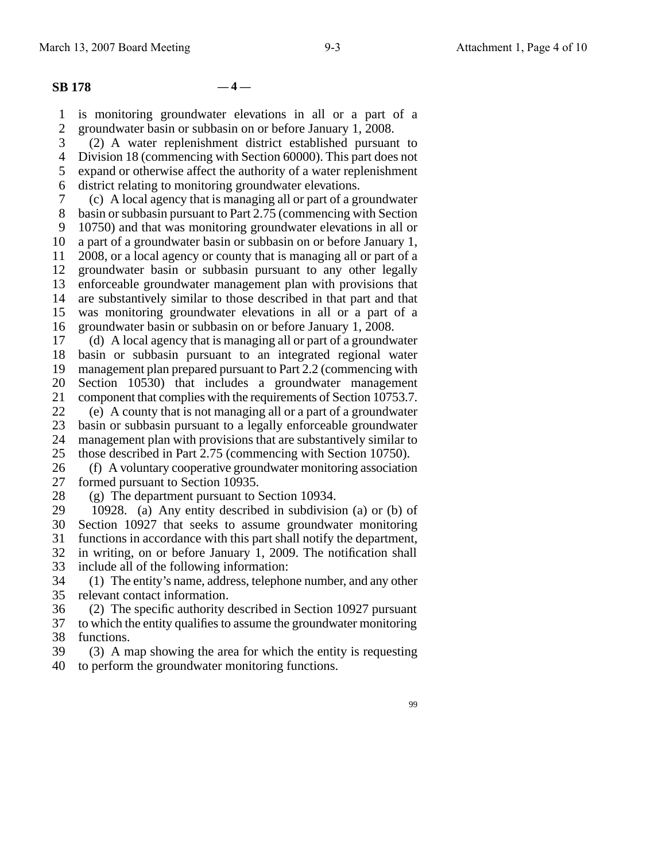#### **SB 178 — 4 —**

1 2 is monitoring groundwater elevations in all or a part of a groundwater basin or subbasin on or before January 1, 2008.

3 (2) A water replenishment district established pursuant to

4 5 Division 18 (commencing with Section 60000). This part does not expand or otherwise affect the authority of a water replenishment

6 district relating to monitoring groundwater elevations.

7 (c) A local agency that is managing all or part of a groundwater

8 basin or subbasin pursuant to Part 2.75 (commencing with Section

9 10750) and that was monitoring groundwater elevations in all or

10 11 a part of a groundwater basin or subbasin on or before January 1, 2008, or a local agency or county that is managing all or part of a

12 13 groundwater basin or subbasin pursuant to any other legally enforceable groundwater management plan with provisions that

14 15 are substantively similar to those described in that part and that was monitoring groundwater elevations in all or a part of a

16 groundwater basin or subbasin on or before January 1, 2008.

17 18 19 20 21 (d) A local agency that is managing all or part of a groundwater basin or subbasin pursuant to an integrated regional water management plan prepared pursuant to Part 2.2 (commencing with Section 10530) that includes a groundwater management component that complies with the requirements of Section 10753.7.

22 23 24 (e) A county that is not managing all or a part of a groundwater basin or subbasin pursuant to a legally enforceable groundwater management plan with provisions that are substantively similar to

25 those described in Part 2.75 (commencing with Section 10750).

26 27 (f) A voluntary cooperative groundwater monitoring association formed pursuant to Section 10935.

28 (g) The department pursuant to Section 10934.

29 30 31 32 33 10928. (a) Any entity described in subdivision (a) or (b) of Section 10927 that seeks to assume groundwater monitoring functions in accordance with this part shall notify the department, in writing, on or before January 1, 2009. The notification shall include all of the following information:

34 35 (1) The entity's name, address, telephone number, and any other relevant contact information.

36 (2) The specific authority described in Section 10927 pursuant

37 38 to which the entity qualifies to assume the groundwater monitoring functions.

39 40 (3) A map showing the area for which the entity is requesting to perform the groundwater monitoring functions.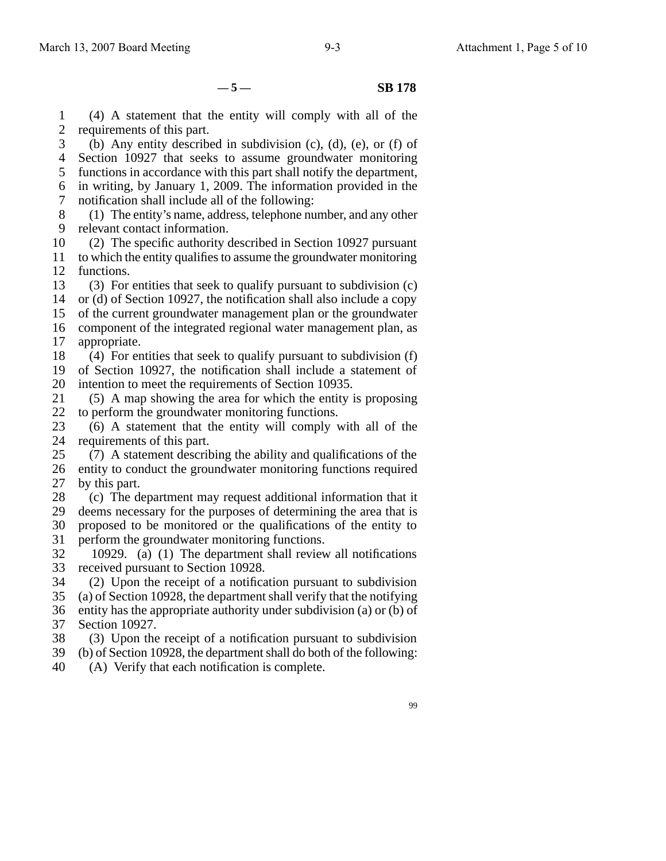$-5 -$  **SB 178** 

1 2 (4) A statement that the entity will comply with all of the requirements of this part.

3 4 5 6 7 (b) Any entity described in subdivision (c), (d), (e), or (f) of Section 10927 that seeks to assume groundwater monitoring functions in accordance with this part shall notify the department, in writing, by January 1, 2009. The information provided in the notification shall include all of the following:

8 9 (1) The entity's name, address, telephone number, and any other relevant contact information.

10 (2) The specific authority described in Section 10927 pursuant

11 12 to which the entity qualifies to assume the groundwater monitoring functions.

13 (3) For entities that seek to qualify pursuant to subdivision (c)

14 or (d) of Section 10927, the notification shall also include a copy

15 16 of the current groundwater management plan or the groundwater component of the integrated regional water management plan, as

17 appropriate.

18 (4) For entities that seek to qualify pursuant to subdivision (f)

19 20 of Section 10927, the notification shall include a statement of intention to meet the requirements of Section 10935.

21 22 (5) A map showing the area for which the entity is proposing to perform the groundwater monitoring functions.

23 24 (6) A statement that the entity will comply with all of the requirements of this part.

25 26 27 (7) A statement describing the ability and qualifications of the entity to conduct the groundwater monitoring functions required by this part.

28 (c) The department may request additional information that it

29 30 deems necessary for the purposes of determining the area that is proposed to be monitored or the qualifications of the entity to

- 31 perform the groundwater monitoring functions.
- 32 33 10929. (a) (1) The department shall review all notifications received pursuant to Section 10928.

34 (2) Upon the receipt of a notification pursuant to subdivision

35 (a) of Section 10928, the department shall verify that the notifying

36 37 entity has the appropriate authority under subdivision (a) or (b) of Section 10927.

38 (3) Upon the receipt of a notification pursuant to subdivision

39 (b) of Section 10928, the department shall do both of the following:

40 (A) Verify that each notification is complete.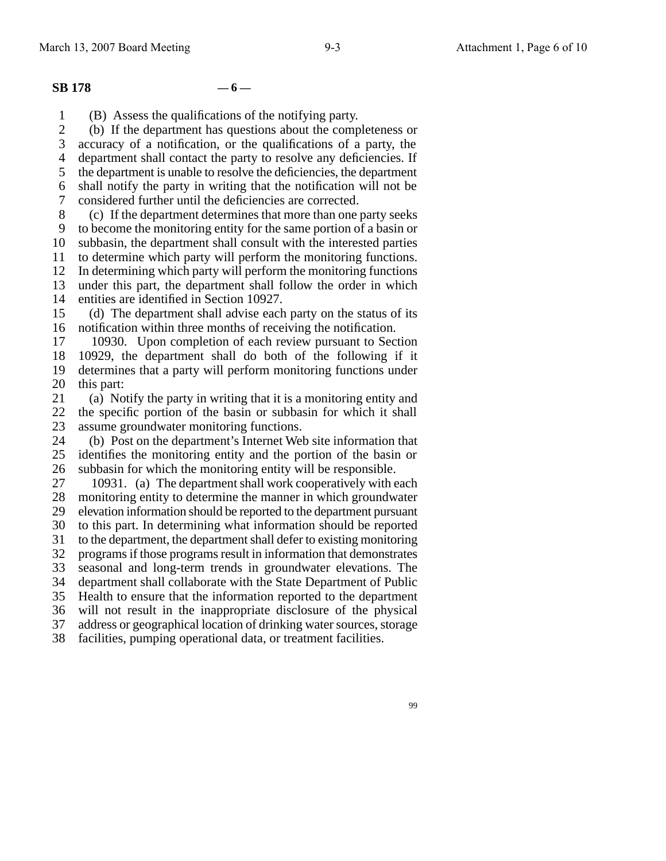### **SB** 178  $-6-$

1 (B) Assess the qualifications of the notifying party.

 $\mathcal{L}$ (b) If the department has questions about the completeness or

3 accuracy of a notification, or the qualifications of a party, the

4 department shall contact the party to resolve any deficiencies. If

5 6 the department is unable to resolve the deficiencies, the department shall notify the party in writing that the notification will not be

7 considered further until the deficiencies are corrected.

8 9 (c) If the department determines that more than one party seeks

10 11 to become the monitoring entity for the same portion of a basin or subbasin, the department shall consult with the interested parties to determine which party will perform the monitoring functions.

12 In determining which party will perform the monitoring functions

13 under this part, the department shall follow the order in which

14 entities are identified in Section 10927.

15 16 (d) The department shall advise each party on the status of its notification within three months of receiving the notification.

17 18 19 20 10930. Upon completion of each review pursuant to Section 10929, the department shall do both of the following if it determines that a party will perform monitoring functions under this part:

21 22 23 (a) Notify the party in writing that it is a monitoring entity and the specific portion of the basin or subbasin for which it shall assume groundwater monitoring functions.

24 25 26 (b) Post on the department's Internet Web site information that identifies the monitoring entity and the portion of the basin or subbasin for which the monitoring entity will be responsible.

27 28 29 30 31 32 33 34 35 36 37 38 10931. (a) The department shall work cooperatively with each monitoring entity to determine the manner in which groundwater elevation information should be reported to the department pursuant to this part. In determining what information should be reported to the department, the department shall defer to existing monitoring programs if those programs result in information that demonstrates seasonal and long-term trends in groundwater elevations. The department shall collaborate with the State Department of Public Health to ensure that the information reported to the department will not result in the inappropriate disclosure of the physical address or geographical location of drinking water sources, storage facilities, pumping operational data, or treatment facilities.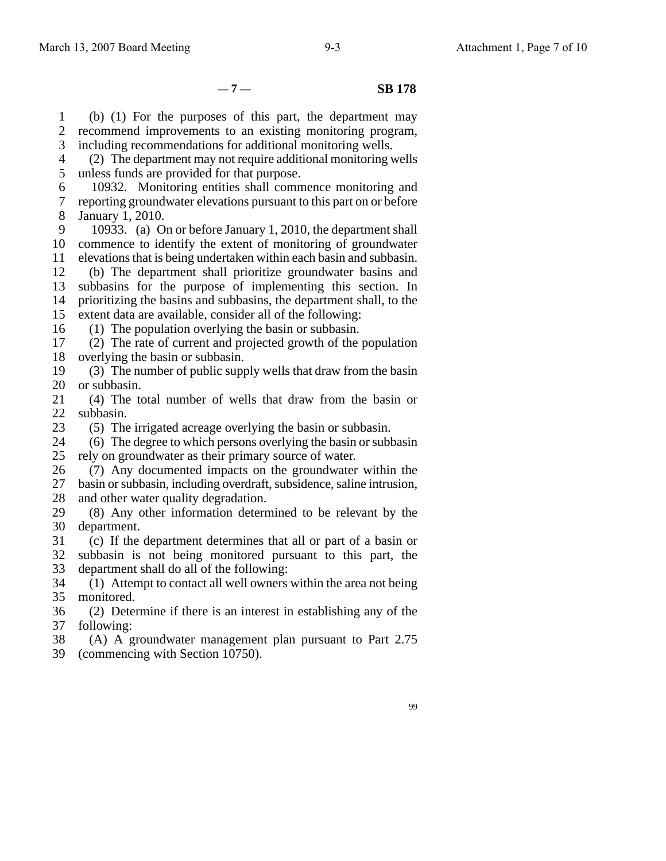**— 7 — SB 178**

1 2 3 (b) (1) For the purposes of this part, the department may recommend improvements to an existing monitoring program, including recommendations for additional monitoring wells.

4 5 (2) The department may not require additional monitoring wells unless funds are provided for that purpose.

6 7 8 10932. Monitoring entities shall commence monitoring and reporting groundwater elevations pursuant to this part on or before January 1, 2010.

9 10 11 10933. (a) On or before January 1, 2010, the department shall commence to identify the extent of monitoring of groundwater elevations that is being undertaken within each basin and subbasin.

12 13 14 15 (b) The department shall prioritize groundwater basins and subbasins for the purpose of implementing this section. In prioritizing the basins and subbasins, the department shall, to the extent data are available, consider all of the following:

16 (1) The population overlying the basin or subbasin.

17 18 (2) The rate of current and projected growth of the population overlying the basin or subbasin.

19 20 (3) The number of public supply wells that draw from the basin or subbasin.

21 22 (4) The total number of wells that draw from the basin or subbasin.

23 (5) The irrigated acreage overlying the basin or subbasin.

24 25 (6) The degree to which persons overlying the basin or subbasin rely on groundwater as their primary source of water.

26 27 28 (7) Any documented impacts on the groundwater within the basin or subbasin, including overdraft, subsidence, saline intrusion, and other water quality degradation.

29 30 (8) Any other information determined to be relevant by the department.

31 32 33 (c) If the department determines that all or part of a basin or subbasin is not being monitored pursuant to this part, the department shall do all of the following:

34 35 (1) Attempt to contact all well owners within the area not being monitored.

36 37 (2) Determine if there is an interest in establishing any of the following:

38 (A) A groundwater management plan pursuant to Part 2.75

39 (commencing with Section 10750).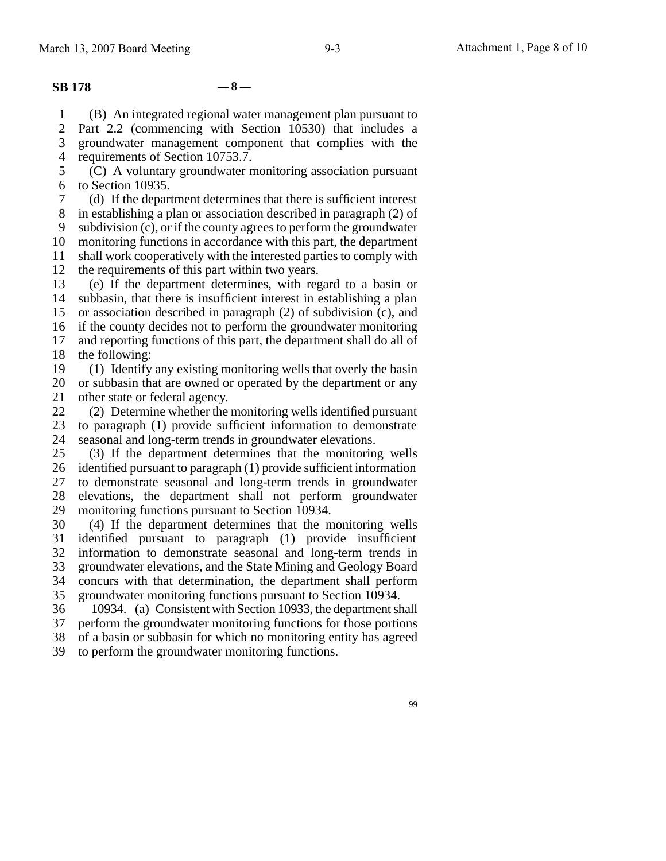## **SB 178 — 8 —**

1 (B) An integrated regional water management plan pursuant to

2 3 Part 2.2 (commencing with Section 10530) that includes a groundwater management component that complies with the

4 requirements of Section 10753.7.

5 6 (C) A voluntary groundwater monitoring association pursuant to Section 10935.

7 (d) If the department determines that there is sufficient interest

8 in establishing a plan or association described in paragraph (2) of

9 subdivision (c), or if the county agrees to perform the groundwater

10 monitoring functions in accordance with this part, the department

11 12 shall work cooperatively with the interested parties to comply with the requirements of this part within two years.

13 14 15 16 (e) If the department determines, with regard to a basin or subbasin, that there is insufficient interest in establishing a plan or association described in paragraph (2) of subdivision (c), and if the county decides not to perform the groundwater monitoring

17 18 and reporting functions of this part, the department shall do all of the following:

19 20 21 (1) Identify any existing monitoring wells that overly the basin or subbasin that are owned or operated by the department or any other state or federal agency.

22 23 24 (2) Determine whether the monitoring wells identified pursuant to paragraph (1) provide sufficient information to demonstrate seasonal and long-term trends in groundwater elevations.

25 26 27 28 29 (3) If the department determines that the monitoring wells identified pursuant to paragraph (1) provide sufficient information to demonstrate seasonal and long-term trends in groundwater elevations, the department shall not perform groundwater monitoring functions pursuant to Section 10934.

30 31 32 33 34 35 (4) If the department determines that the monitoring wells identified pursuant to paragraph (1) provide insufficient information to demonstrate seasonal and long-term trends in groundwater elevations, and the State Mining and Geology Board concurs with that determination, the department shall perform groundwater monitoring functions pursuant to Section 10934.

36 37 38 10934. (a) Consistent with Section 10933, the department shall perform the groundwater monitoring functions for those portions of a basin or subbasin for which no monitoring entity has agreed

39 to perform the groundwater monitoring functions.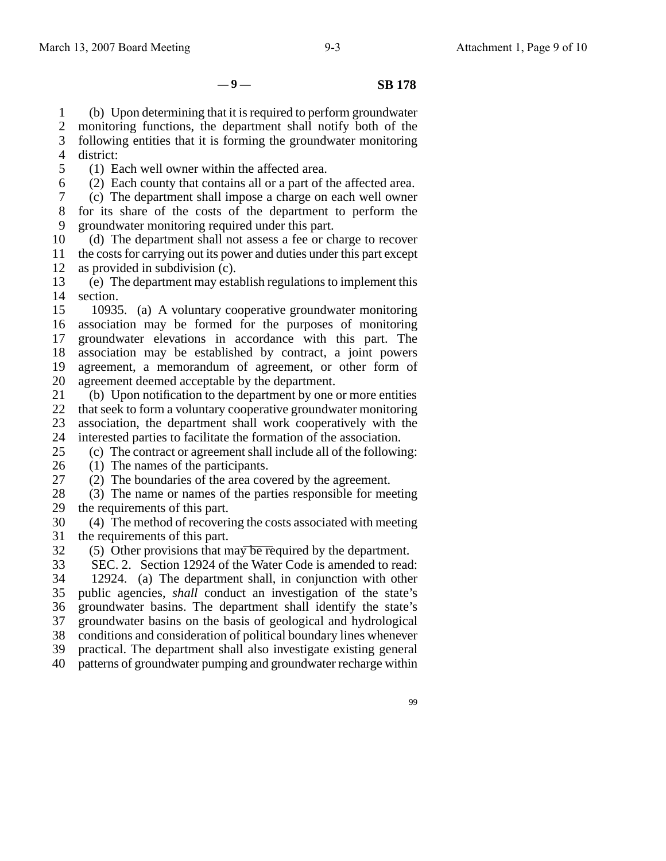$-9 -$  **SB 178** 

1 (b) Upon determining that it is required to perform groundwater

2 monitoring functions, the department shall notify both of the

3 4 following entities that it is forming the groundwater monitoring district:

5 (1) Each well owner within the affected area.

6 (2) Each county that contains all or a part of the affected area.

7 8 9 (c) The department shall impose a charge on each well owner for its share of the costs of the department to perform the groundwater monitoring required under this part.

10 11 12 (d) The department shall not assess a fee or charge to recover the costs for carrying out its power and duties under this part except as provided in subdivision (c).

13 14 (e) The department may establish regulations to implement this section.

15 16 17 18 19 20 10935. (a) A voluntary cooperative groundwater monitoring association may be formed for the purposes of monitoring groundwater elevations in accordance with this part. The association may be established by contract, a joint powers agreement, a memorandum of agreement, or other form of agreement deemed acceptable by the department.

21 22 23 24 (b) Upon notification to the department by one or more entities that seek to form a voluntary cooperative groundwater monitoring association, the department shall work cooperatively with the interested parties to facilitate the formation of the association.

25 (c) The contract or agreement shall include all of the following:

26 (1) The names of the participants.

27 (2) The boundaries of the area covered by the agreement.

28 29 (3) The name or names of the parties responsible for meeting the requirements of this part.

30 31 (4) The method of recovering the costs associated with meeting the requirements of this part.

32 (5) Other provisions that may be required by the department.

33 34 35 36 37 38 39 40 SEC. 2. Section 12924 of the Water Code is amended to read: 12924. (a) The department shall, in conjunction with other public agencies, *shall* conduct an investigation of the state's groundwater basins. The department shall identify the state's groundwater basins on the basis of geological and hydrological conditions and consideration of political boundary lines whenever practical. The department shall also investigate existing general patterns of groundwater pumping and groundwater recharge within

99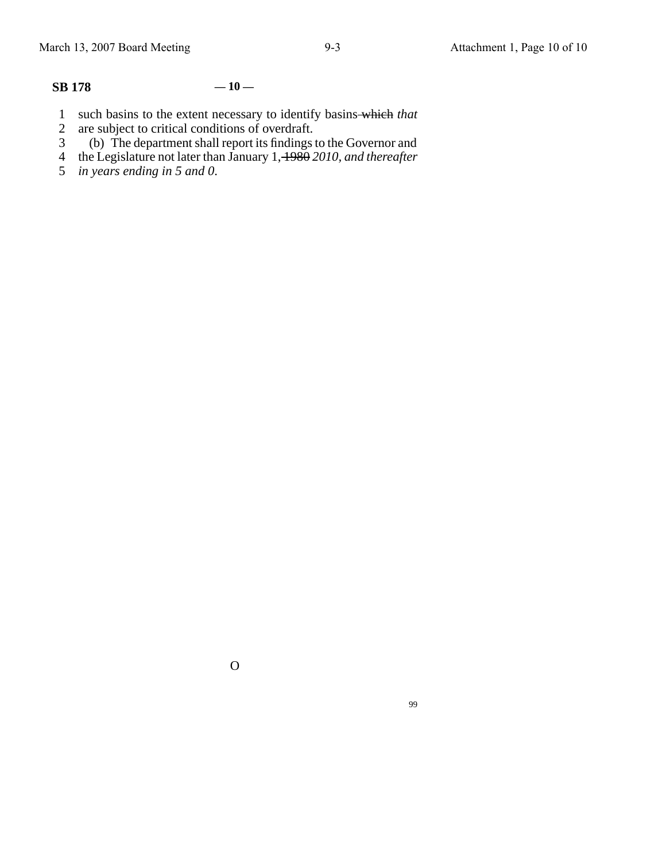# **SB 178 — 10 —**

- 1 such basins to the extent necessary to identify basins which *that*
- 2 are subject to critical conditions of overdraft.
- 3 (b) The department shall report its findings to the Governor and
- 4 the Legislature not later than January 1, 1980 *2010, and thereafter*
- 5 *in years ending in 5 and 0*.

O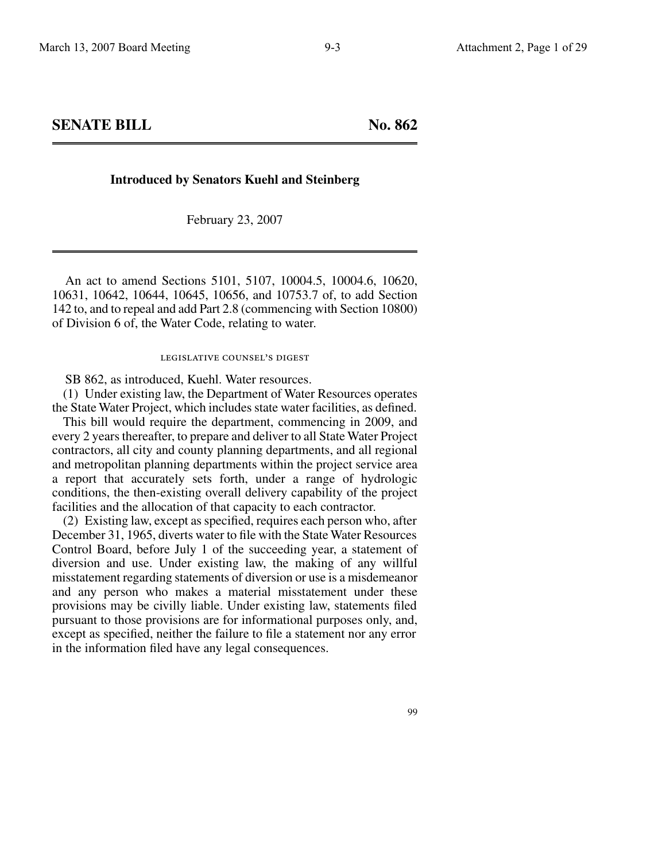**SENATE BILL** No. 862

### **Introduced by Senators Kuehl and Steinberg**

February 23, 2007

An act to amend Sections 5101, 5107, 10004.5, 10004.6, 10620, 10631, 10642, 10644, 10645, 10656, and 10753.7 of, to add Section 142 to, and to repeal and add Part 2.8 (commencing with Section 10800) of Division 6 of, the Water Code, relating to water.

#### legislative counsel's digest

SB 862, as introduced, Kuehl. Water resources.

(1) Under existing law, the Department of Water Resources operates the State Water Project, which includes state water facilities, as defined.

This bill would require the department, commencing in 2009, and every 2 years thereafter, to prepare and deliver to all State Water Project contractors, all city and county planning departments, and all regional and metropolitan planning departments within the project service area a report that accurately sets forth, under a range of hydrologic conditions, the then-existing overall delivery capability of the project facilities and the allocation of that capacity to each contractor.

(2) Existing law, except as specified, requires each person who, after December 31, 1965, diverts water to file with the State Water Resources Control Board, before July 1 of the succeeding year, a statement of diversion and use. Under existing law, the making of any willful misstatement regarding statements of diversion or use is a misdemeanor and any person who makes a material misstatement under these provisions may be civilly liable. Under existing law, statements filed pursuant to those provisions are for informational purposes only, and, except as specified, neither the failure to file a statement nor any error in the information filed have any legal consequences.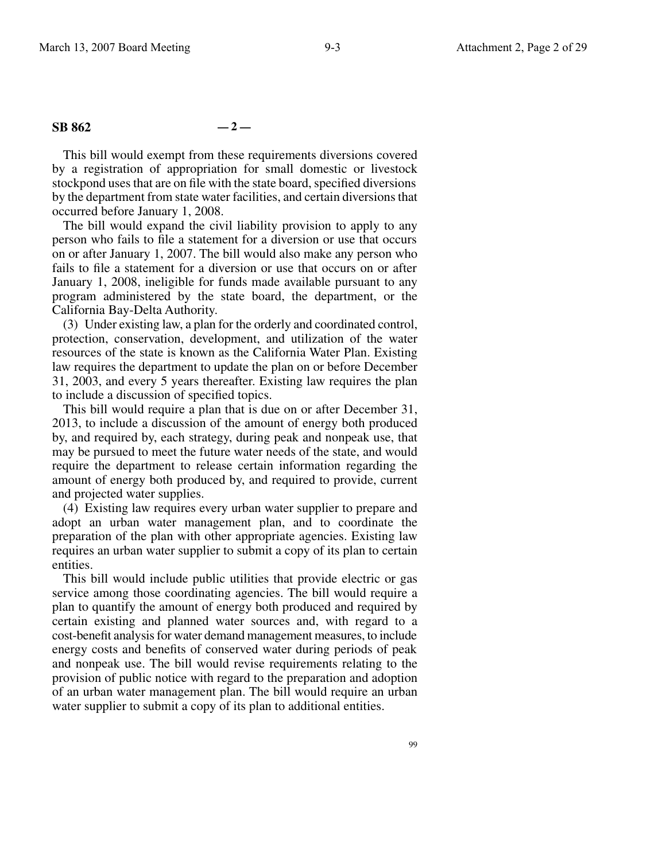## **SB 862 — 2 —**

This bill would exempt from these requirements diversions covered by a registration of appropriation for small domestic or livestock stockpond uses that are on file with the state board, specified diversions by the department from state water facilities, and certain diversions that occurred before January 1, 2008.

The bill would expand the civil liability provision to apply to any person who fails to file a statement for a diversion or use that occurs on or after January 1, 2007. The bill would also make any person who fails to file a statement for a diversion or use that occurs on or after January 1, 2008, ineligible for funds made available pursuant to any program administered by the state board, the department, or the California Bay-Delta Authority.

(3) Under existing law, a plan for the orderly and coordinated control, protection, conservation, development, and utilization of the water resources of the state is known as the California Water Plan. Existing law requires the department to update the plan on or before December 31, 2003, and every 5 years thereafter. Existing law requires the plan to include a discussion of specified topics.

This bill would require a plan that is due on or after December 31, 2013, to include a discussion of the amount of energy both produced by, and required by, each strategy, during peak and nonpeak use, that may be pursued to meet the future water needs of the state, and would require the department to release certain information regarding the amount of energy both produced by, and required to provide, current and projected water supplies.

(4) Existing law requires every urban water supplier to prepare and adopt an urban water management plan, and to coordinate the preparation of the plan with other appropriate agencies. Existing law requires an urban water supplier to submit a copy of its plan to certain entities.

This bill would include public utilities that provide electric or gas service among those coordinating agencies. The bill would require a plan to quantify the amount of energy both produced and required by certain existing and planned water sources and, with regard to a cost-benefit analysis for water demand management measures, to include energy costs and benefits of conserved water during periods of peak and nonpeak use. The bill would revise requirements relating to the provision of public notice with regard to the preparation and adoption of an urban water management plan. The bill would require an urban water supplier to submit a copy of its plan to additional entities.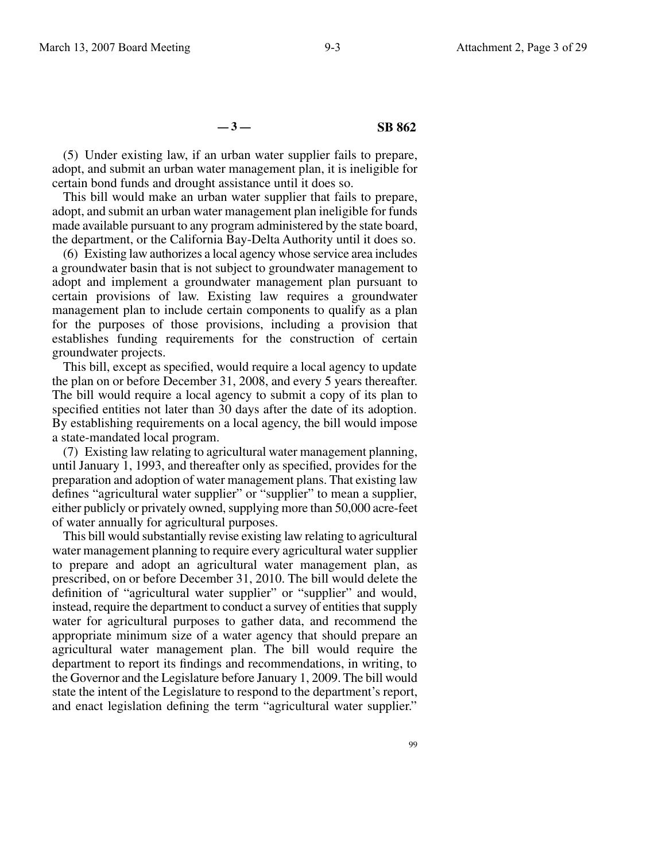**— 3 — SB 862**

(5) Under existing law, if an urban water supplier fails to prepare, adopt, and submit an urban water management plan, it is ineligible for certain bond funds and drought assistance until it does so.

This bill would make an urban water supplier that fails to prepare, adopt, and submit an urban water management plan ineligible for funds made available pursuant to any program administered by the state board, the department, or the California Bay-Delta Authority until it does so.

(6) Existing law authorizes a local agency whose service area includes a groundwater basin that is not subject to groundwater management to adopt and implement a groundwater management plan pursuant to certain provisions of law. Existing law requires a groundwater management plan to include certain components to qualify as a plan for the purposes of those provisions, including a provision that establishes funding requirements for the construction of certain groundwater projects.

This bill, except as specified, would require a local agency to update the plan on or before December 31, 2008, and every 5 years thereafter. The bill would require a local agency to submit a copy of its plan to specified entities not later than 30 days after the date of its adoption. By establishing requirements on a local agency, the bill would impose a state-mandated local program.

(7) Existing law relating to agricultural water management planning, until January 1, 1993, and thereafter only as specified, provides for the preparation and adoption of water management plans. That existing law defines "agricultural water supplier" or "supplier" to mean a supplier, either publicly or privately owned, supplying more than 50,000 acre-feet of water annually for agricultural purposes.

This bill would substantially revise existing law relating to agricultural water management planning to require every agricultural water supplier to prepare and adopt an agricultural water management plan, as prescribed, on or before December 31, 2010. The bill would delete the definition of "agricultural water supplier" or "supplier" and would, instead, require the department to conduct a survey of entities that supply water for agricultural purposes to gather data, and recommend the appropriate minimum size of a water agency that should prepare an agricultural water management plan. The bill would require the department to report its findings and recommendations, in writing, to the Governor and the Legislature before January 1, 2009. The bill would state the intent of the Legislature to respond to the department's report, and enact legislation defining the term "agricultural water supplier."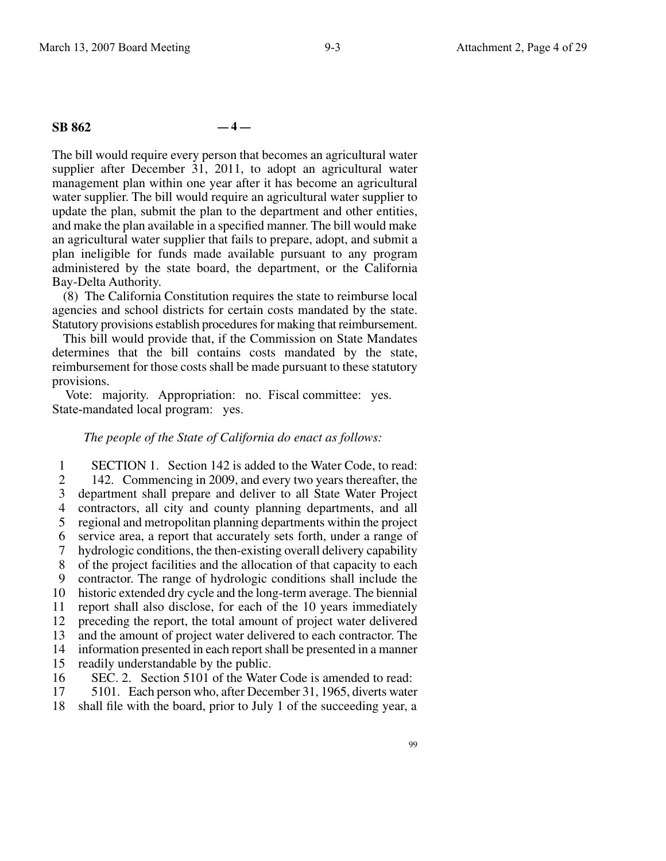#### **SB 862 — 4 —**

The bill would require every person that becomes an agricultural water supplier after December 31, 2011, to adopt an agricultural water management plan within one year after it has become an agricultural water supplier. The bill would require an agricultural water supplier to update the plan, submit the plan to the department and other entities, and make the plan available in a specified manner. The bill would make an agricultural water supplier that fails to prepare, adopt, and submit a plan ineligible for funds made available pursuant to any program administered by the state board, the department, or the California Bay-Delta Authority.

(8) The California Constitution requires the state to reimburse local agencies and school districts for certain costs mandated by the state. Statutory provisions establish procedures for making that reimbursement.

This bill would provide that, if the Commission on State Mandates determines that the bill contains costs mandated by the state, reimbursement for those costs shall be made pursuant to these statutory provisions.

Vote: majority. Appropriation: no. Fiscal committee: yes. State-mandated local program: yes.

### *The people of the State of California do enact as follows:*

1 2 3 4 5 6 7 8 9 10 11 12 13 14 15 16 SECTION 1. Section 142 is added to the Water Code, to read: 142. Commencing in 2009, and every two years thereafter, the department shall prepare and deliver to all State Water Project contractors, all city and county planning departments, and all regional and metropolitan planning departments within the project service area, a report that accurately sets forth, under a range of hydrologic conditions, the then-existing overall delivery capability of the project facilities and the allocation of that capacity to each contractor. The range of hydrologic conditions shall include the historic extended dry cycle and the long-term average. The biennial report shall also disclose, for each of the 10 years immediately preceding the report, the total amount of project water delivered and the amount of project water delivered to each contractor. The information presented in each report shall be presented in a manner readily understandable by the public. SEC. 2. Section 5101 of the Water Code is amended to read:

17 5101. Each person who, after December 31, 1965, diverts water

18 shall file with the board, prior to July 1 of the succeeding year, a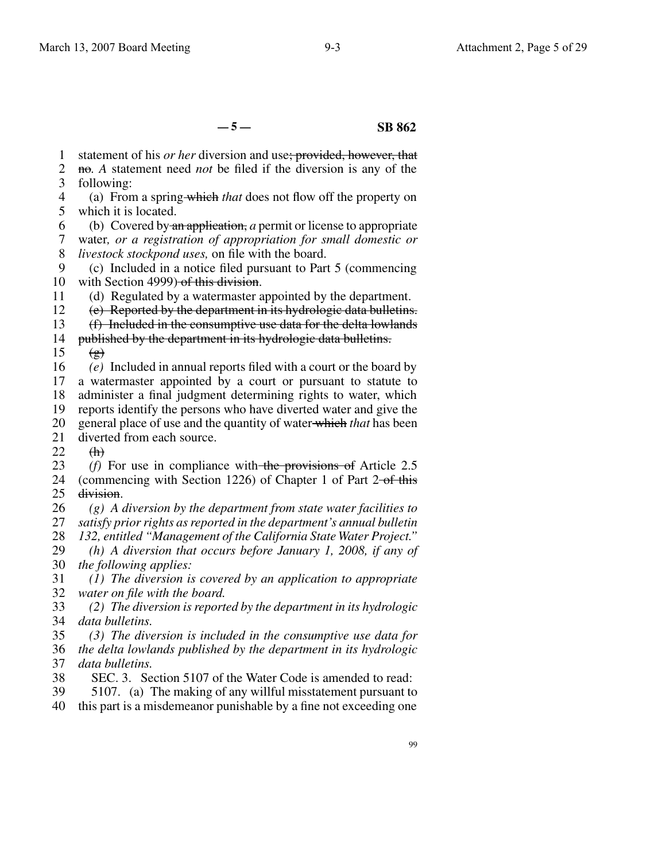**— 5 — SB 862**

1 statement of his *or her* diversion and use; provided, however, that

2 3 no*. A* statement need *not* be filed if the diversion is any of the following:

4 5 (a) From a spring which *that* does not flow off the property on which it is located.

6 (b) Covered by an application, *a* permit or license to appropriate

7 8 water*, or a registration of appropriation for small domestic or livestock stockpond uses,* on file with the board.

9 10 (c) Included in a notice filed pursuant to Part 5 (commencing with Section 4999) of this division.

11 (d) Regulated by a watermaster appointed by the department.

12 (e) Reported by the department in its hydrologic data bulletins.

13 (f) Included in the consumptive use data for the delta lowlands

- 14 15 published by the department in its hydrologic data bulletins.  $\left(\frac{\mathbf{g}}{\mathbf{g}}\right)$
- 16 17 18 19 20 21 *(e)* Included in annual reports filed with a court or the board by a watermaster appointed by a court or pursuant to statute to administer a final judgment determining rights to water, which reports identify the persons who have diverted water and give the general place of use and the quantity of water which *that* has been diverted from each source.

22  $f_{\text{th}}$ 

23 24 25 *(f)* For use in compliance with the provisions of Article 2.5 (commencing with Section 1226) of Chapter 1 of Part  $2$ -of this division.

26 27 28 *(g) A diversion by the department from state water facilities to satisfy prior rights as reported in the department's annual bulletin 132, entitled "Management of the California State Water Project."*

29 30 *(h) A diversion that occurs before January 1, 2008, if any of the following applies:*

31 32 *(1) The diversion is covered by an application to appropriate water on file with the board.*

33 34 *(2) The diversion is reported by the department in its hydrologic data bulletins.*

35 36 37 *(3) The diversion is included in the consumptive use data for the delta lowlands published by the department in its hydrologic data bulletins.*

38 SEC. 3. Section 5107 of the Water Code is amended to read:

39 5107. (a) The making of any willful misstatement pursuant to

40 this part is a misdemeanor punishable by a fine not exceeding one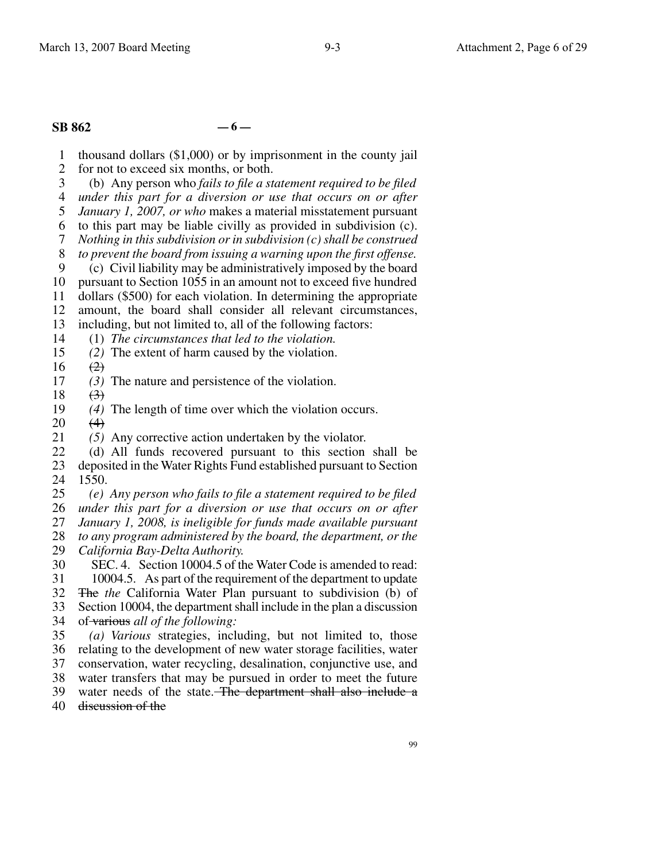## **SB 862 — 6 —**

1 thousand dollars (\$1,000) or by imprisonment in the county jail

2 for not to exceed six months, or both.

3 (b) Any person who *fails to file a statement required to be filed*

4 5 *under this part for a diversion or use that occurs on or after January 1, 2007, or who* makes a material misstatement pursuant

6 to this part may be liable civilly as provided in subdivision (c).

7 *Nothing in this subdivision or in subdivision (c) shall be construed*

8 *to prevent the board from issuing a warning upon the first offense.*

9 (c) Civil liability may be administratively imposed by the board

10 pursuant to Section 1055 in an amount not to exceed five hundred

11 dollars (\$500) for each violation. In determining the appropriate

12 amount, the board shall consider all relevant circumstances,

13 including, but not limited to, all of the following factors:

14 (1) *The circumstances that led to the violation.*

15 *(2)* The extent of harm caused by the violation.

16  $(2)$ 

17 *(3)* The nature and persistence of the violation.

18  $\left(3\right)$ 

19 *(4)* The length of time over which the violation occurs.

20  $(4)$ 

21 *(5)* Any corrective action undertaken by the violator.

22 23 24 (d) All funds recovered pursuant to this section shall be deposited in the Water Rights Fund established pursuant to Section 1550.

25 *(e) Any person who fails to file a statement required to be filed*

26 27 *under this part for a diversion or use that occurs on or after*

28 *January 1, 2008, is ineligible for funds made available pursuant to any program administered by the board, the department, or the*

29 *California Bay-Delta Authority.*

30 31 SEC. 4. Section 10004.5 of the Water Code is amended to read: 10004.5. As part of the requirement of the department to update

32 33 The *the* California Water Plan pursuant to subdivision (b) of Section 10004, the department shall include in the plan a discussion

34 of various *all of the following:*

35 36 37 *(a) Various* strategies, including, but not limited to, those relating to the development of new water storage facilities, water conservation, water recycling, desalination, conjunctive use, and

38 water transfers that may be pursued in order to meet the future

39 water needs of the state. The department shall also include a

40 discussion of the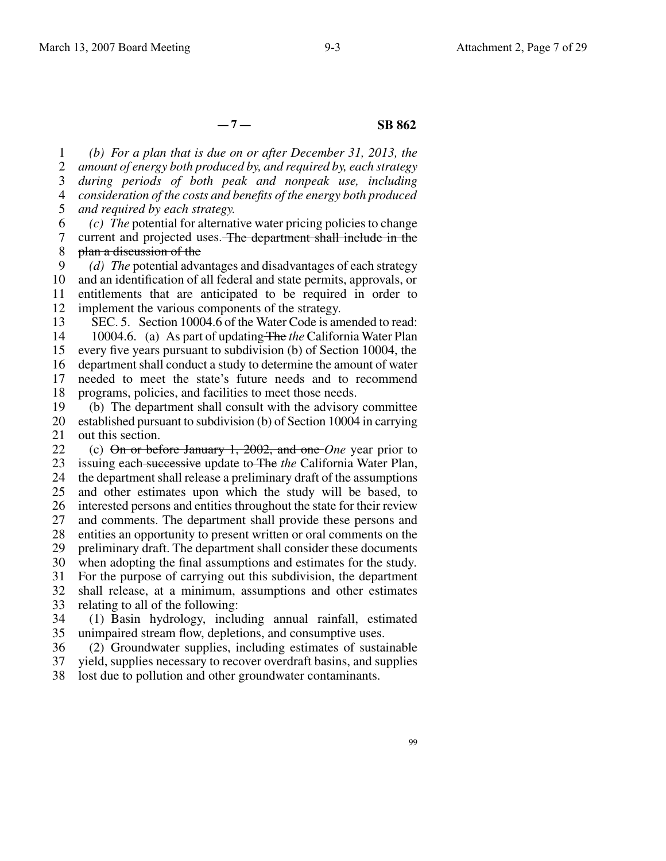## **— 7 — SB 862**

1 2 3 4 5 *(b) For a plan that is due on or after December 31, 2013, the amount of energy both produced by, and required by, each strategy during periods of both peak and nonpeak use, including consideration of the costs and benefits of the energy both produced and required by each strategy.*

6 7 8 *(c) The* potential for alternative water pricing policies to change current and projected uses. The department shall include in the plan a discussion of the

9 10 11 12 *(d) The* potential advantages and disadvantages of each strategy and an identification of all federal and state permits, approvals, or entitlements that are anticipated to be required in order to implement the various components of the strategy.

13 14 15 16 17 SEC. 5. Section 10004.6 of the Water Code is amended to read: 10004.6. (a) As part of updating The *the* California Water Plan every five years pursuant to subdivision (b) of Section 10004, the department shall conduct a study to determine the amount of water needed to meet the state's future needs and to recommend

18 programs, policies, and facilities to meet those needs.

19 20 21 (b) The department shall consult with the advisory committee established pursuant to subdivision (b) of Section 10004 in carrying out this section.

22 23 24 25 26 27 28 29 30 31 32 33 (c) On or before January 1, 2002, and one *One* year prior to issuing each successive update to The *the* California Water Plan, the department shall release a preliminary draft of the assumptions and other estimates upon which the study will be based, to interested persons and entities throughout the state for their review and comments. The department shall provide these persons and entities an opportunity to present written or oral comments on the preliminary draft. The department shall consider these documents when adopting the final assumptions and estimates for the study. For the purpose of carrying out this subdivision, the department shall release, at a minimum, assumptions and other estimates relating to all of the following:

34 35 (1) Basin hydrology, including annual rainfall, estimated unimpaired stream flow, depletions, and consumptive uses.

36 37 (2) Groundwater supplies, including estimates of sustainable yield, supplies necessary to recover overdraft basins, and supplies

38 lost due to pollution and other groundwater contaminants.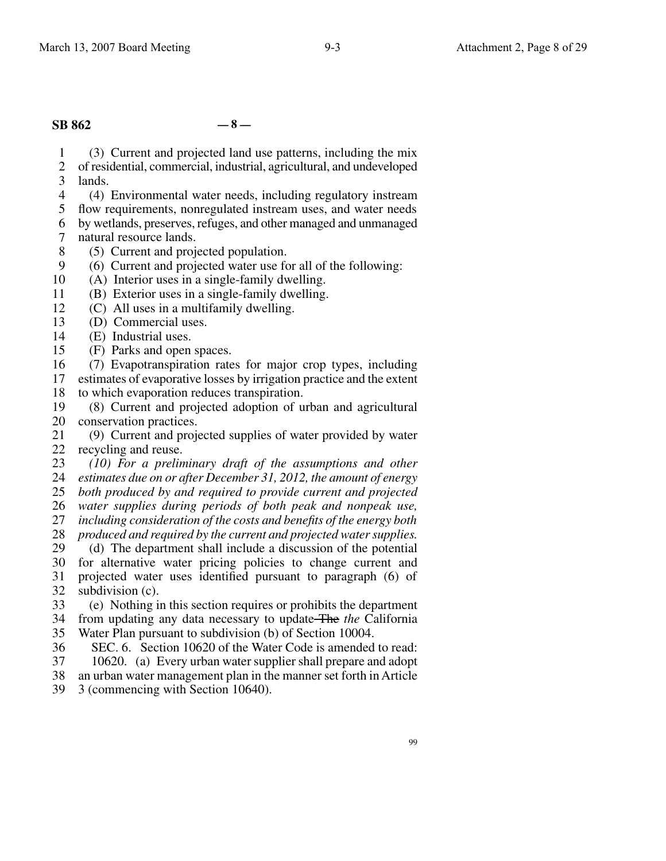# **SB 862 — 8 —**

1 2 3 (3) Current and projected land use patterns, including the mix of residential, commercial, industrial, agricultural, and undeveloped lands.

4 (4) Environmental water needs, including regulatory instream

5 flow requirements, nonregulated instream uses, and water needs

6 by wetlands, preserves, refuges, and other managed and unmanaged

- 7 natural resource lands.
- 8 (5) Current and projected population.
- 9 (6) Current and projected water use for all of the following:
- 10 (A) Interior uses in a single-family dwelling.
- 11 (B) Exterior uses in a single-family dwelling.
- 12 (C) All uses in a multifamily dwelling.
- 13 (D) Commercial uses.
- 14 (E) Industrial uses.
- 15 (F) Parks and open spaces.
- 16 (7) Evapotranspiration rates for major crop types, including

17 estimates of evaporative losses by irrigation practice and the extent

- 18 to which evaporation reduces transpiration.
- 19 20 (8) Current and projected adoption of urban and agricultural conservation practices.

21 22 recycling and reuse. (9) Current and projected supplies of water provided by water

23 24 *(10) For a preliminary draft of the assumptions and other estimates due on or after December 31, 2012, the amount of energy*

25 *both produced by and required to provide current and projected*

26 *water supplies during periods of both peak and nonpeak use,*

27 *including consideration of the costs and benefits of the energy both*

28 *produced and required by the current and projected water supplies.*

29 30 31 32 (d) The department shall include a discussion of the potential for alternative water pricing policies to change current and projected water uses identified pursuant to paragraph (6) of subdivision (c).

33 34 35 (e) Nothing in this section requires or prohibits the department from updating any data necessary to update The *the* California Water Plan pursuant to subdivision (b) of Section 10004.

36 SEC. 6. Section 10620 of the Water Code is amended to read:

- 37 10620. (a) Every urban water supplier shall prepare and adopt
- 38 an urban water management plan in the manner set forth in Article
- 39 3 (commencing with Section 10640).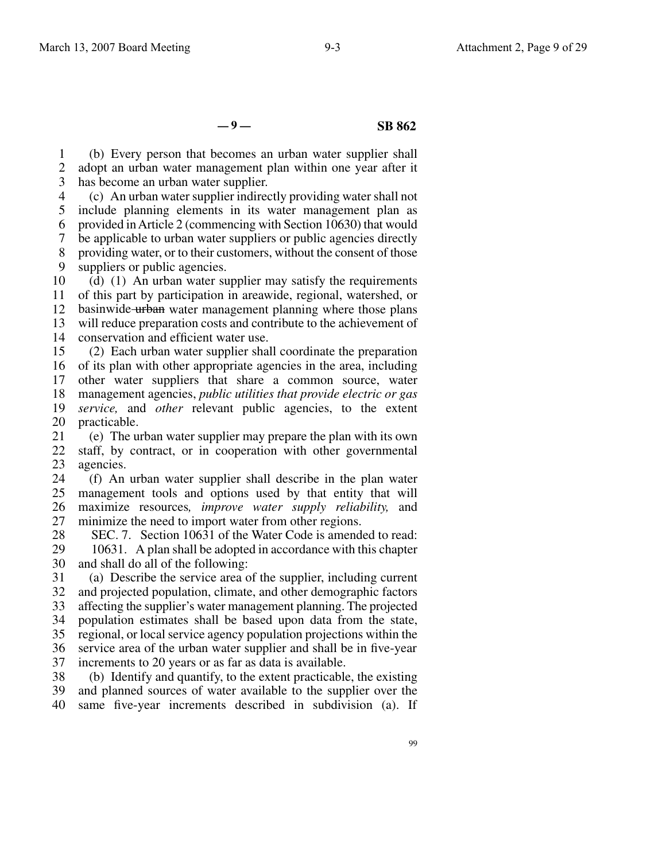**— 9 — SB 862**

1 2 3 (b) Every person that becomes an urban water supplier shall adopt an urban water management plan within one year after it has become an urban water supplier.

4 5 6 7 8 9 (c) An urban water supplier indirectly providing water shall not include planning elements in its water management plan as provided in Article 2 (commencing with Section 10630) that would be applicable to urban water suppliers or public agencies directly providing water, or to their customers, without the consent of those suppliers or public agencies.

10 11 12 13 14 (d) (1) An urban water supplier may satisfy the requirements of this part by participation in areawide, regional, watershed, or basinwide urban water management planning where those plans will reduce preparation costs and contribute to the achievement of conservation and efficient water use.

15 16 of its plan with other appropriate agencies in the area, including 17 18 19 20 (2) Each urban water supplier shall coordinate the preparation other water suppliers that share a common source, water management agencies, *public utilities that provide electric or gas service,* and *other* relevant public agencies, to the extent practicable.

21 22 23 (e) The urban water supplier may prepare the plan with its own staff, by contract, or in cooperation with other governmental agencies.

24 25 26 27 (f) An urban water supplier shall describe in the plan water management tools and options used by that entity that will maximize resources*, improve water supply reliability,* and minimize the need to import water from other regions.

28 29 30 SEC. 7. Section 10631 of the Water Code is amended to read: 10631. A plan shall be adopted in accordance with this chapter and shall do all of the following:

31 32 33 34 35 36 37 (a) Describe the service area of the supplier, including current and projected population, climate, and other demographic factors affecting the supplier's water management planning. The projected population estimates shall be based upon data from the state, regional, or local service agency population projections within the service area of the urban water supplier and shall be in five-year increments to 20 years or as far as data is available.

38 39 40 (b) Identify and quantify, to the extent practicable, the existing and planned sources of water available to the supplier over the same five-year increments described in subdivision (a). If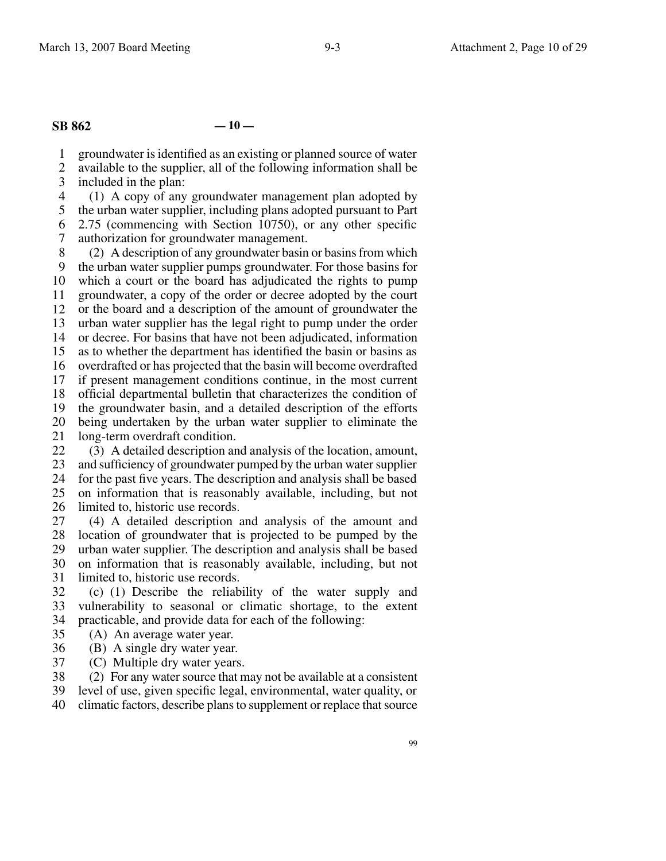**SB 862 — 10 —**

1 groundwater is identified as an existing or planned source of water

2 3 available to the supplier, all of the following information shall be included in the plan:

4 (1) A copy of any groundwater management plan adopted by

5 6 the urban water supplier, including plans adopted pursuant to Part

7 2.75 (commencing with Section 10750), or any other specific authorization for groundwater management.

8 9 10 11 12 13 14 15 16 17 18 19 20 21 22 (2) A description of any groundwater basin or basins from which the urban water supplier pumps groundwater. For those basins for which a court or the board has adjudicated the rights to pump groundwater, a copy of the order or decree adopted by the court or the board and a description of the amount of groundwater the urban water supplier has the legal right to pump under the order or decree. For basins that have not been adjudicated, information as to whether the department has identified the basin or basins as overdrafted or has projected that the basin will become overdrafted if present management conditions continue, in the most current official departmental bulletin that characterizes the condition of the groundwater basin, and a detailed description of the efforts being undertaken by the urban water supplier to eliminate the long-term overdraft condition.

23 24 25 26 (3) A detailed description and analysis of the location, amount, and sufficiency of groundwater pumped by the urban water supplier for the past five years. The description and analysis shall be based on information that is reasonably available, including, but not limited to, historic use records.

27 28 29 30 31 (4) A detailed description and analysis of the amount and location of groundwater that is projected to be pumped by the urban water supplier. The description and analysis shall be based on information that is reasonably available, including, but not limited to, historic use records.

32 33 34 (c) (1) Describe the reliability of the water supply and vulnerability to seasonal or climatic shortage, to the extent practicable, and provide data for each of the following:

35 (A) An average water year.

36 (B) A single dry water year.

37 (C) Multiple dry water years.

38 (2) For any water source that may not be available at a consistent

39 level of use, given specific legal, environmental, water quality, or

40 climatic factors, describe plans to supplement or replace that source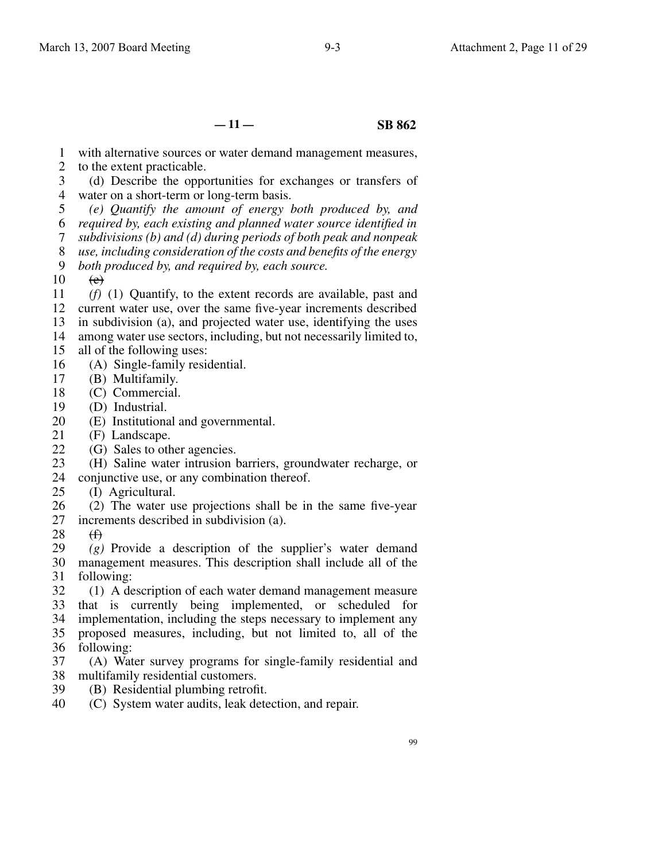**— 11 — SB 862**

- 1 with alternative sources or water demand management measures,
- 2 to the extent practicable.
- 3 4 water on a short-term or long-term basis. (d) Describe the opportunities for exchanges or transfers of
- 5 6 7 *(e) Quantify the amount of energy both produced by, and required by, each existing and planned water source identified in subdivisions (b) and (d) during periods of both peak and nonpeak*
- 8 *use, including consideration of the costs and benefits of the energy*
- 9 *both produced by, and required by, each source.*
- 10  $\left(\mathrm{e}\right)$

11 12 13 *(f)* (1) Quantify, to the extent records are available, past and current water use, over the same five-year increments described in subdivision (a), and projected water use, identifying the uses

14 among water use sectors, including, but not necessarily limited to,

- 15 all of the following uses:
- 16 (A) Single-family residential.
- 17 (B) Multifamily.
- 18 (C) Commercial.
- 19 (D) Industrial.
- 20 (E) Institutional and governmental.
- 21 (F) Landscape.
- 22 (G) Sales to other agencies.

23 (H) Saline water intrusion barriers, groundwater recharge, or

- 24 conjunctive use, or any combination thereof.
- 25 (I) Agricultural.
- 26 27 (2) The water use projections shall be in the same five-year increments described in subdivision (a).
- 28  $\bigoplus$

29 30 management measures. This description shall include all of the 31 *(g)* Provide a description of the supplier's water demand following:

- 32 33 34 35 36 (1) A description of each water demand management measure that is currently being implemented, or scheduled for implementation, including the steps necessary to implement any proposed measures, including, but not limited to, all of the following:
- 37 38 multifamily residential customers. (A) Water survey programs for single-family residential and
- 39 (B) Residential plumbing retrofit.
- 40 (C) System water audits, leak detection, and repair.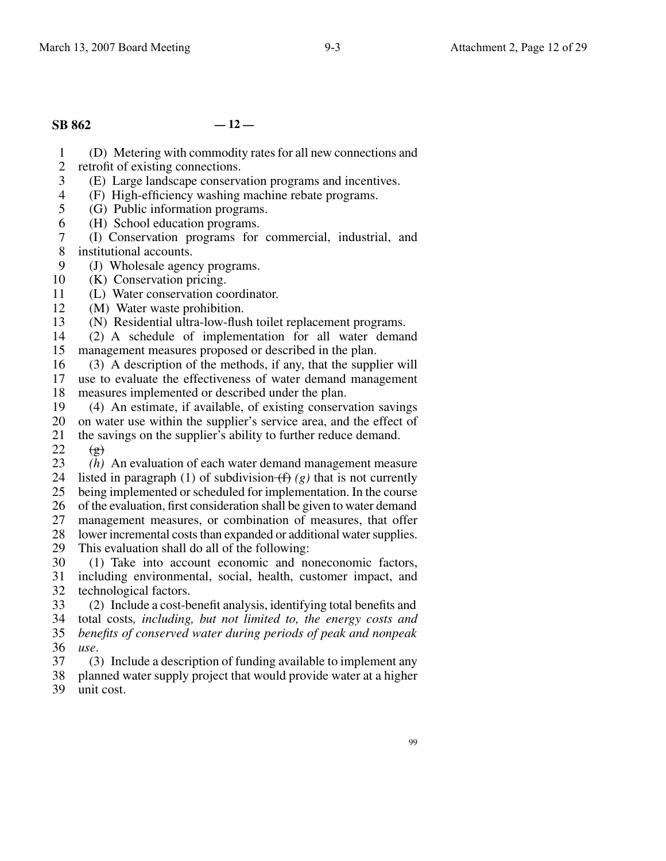# **SB 862 — 12 —**

1 (D) Metering with commodity rates for all new connections and

- 2 retrofit of existing connections.
- 3 (E) Large landscape conservation programs and incentives.
- 4 (F) High-efficiency washing machine rebate programs.
- 5 (G) Public information programs.
- 6 (H) School education programs.
- 7 8 (I) Conservation programs for commercial, industrial, and institutional accounts.
- 9 (J) Wholesale agency programs.
- 10 (K) Conservation pricing.
- 11 (L) Water conservation coordinator.
- 12 (M) Water waste prohibition.
- 13 (N) Residential ultra-low-flush toilet replacement programs.
- 14 15 (2) A schedule of implementation for all water demand management measures proposed or described in the plan.
- 16 (3) A description of the methods, if any, that the supplier will
- 17 18 use to evaluate the effectiveness of water demand management measures implemented or described under the plan.
- 19 (4) An estimate, if available, of existing conservation savings
- 20 21 on water use within the supplier's service area, and the effect of the savings on the supplier's ability to further reduce demand.

22  $\left(\frac{\mathbf{e}}{\mathbf{e}}\right)$ 

- 23 24 25 26 27 28 *(h)* An evaluation of each water demand management measure listed in paragraph (1) of subdivision  $(f)(g)$  that is not currently being implemented or scheduled for implementation. In the course of the evaluation, first consideration shall be given to water demand management measures, or combination of measures, that offer lower incremental costs than expanded or additional water supplies.
- 29 This evaluation shall do all of the following:
- 30 31 32 (1) Take into account economic and noneconomic factors, including environmental, social, health, customer impact, and technological factors.
- 33 34 35 36 (2) Include a cost-benefit analysis, identifying total benefits and total costs*, including, but not limited to, the energy costs and benefits of conserved water during periods of peak and nonpeak use*.
- 37 38 39 (3) Include a description of funding available to implement any planned water supply project that would provide water at a higher unit cost.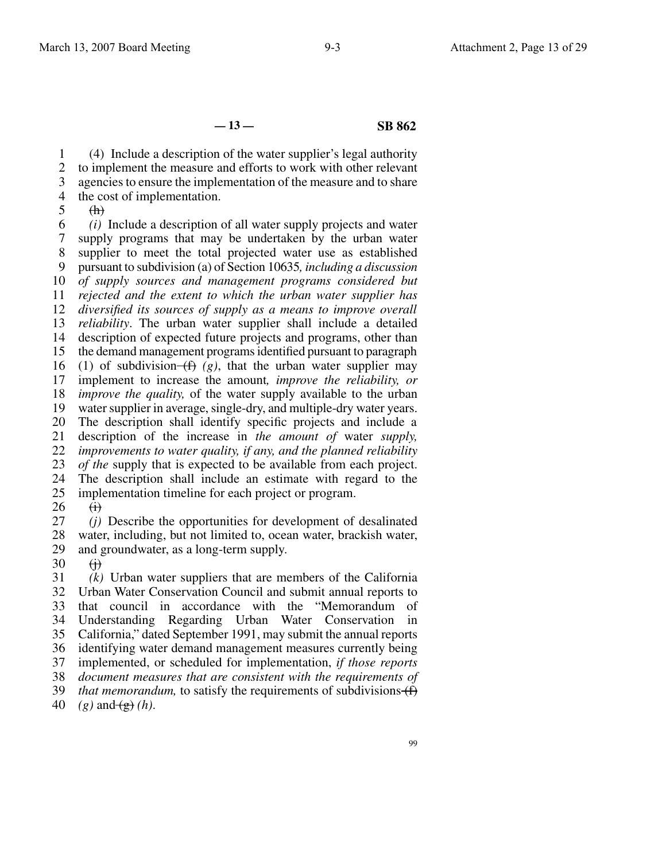**— 13 — SB 862**

1 2 3 4 (4) Include a description of the water supplier's legal authority to implement the measure and efforts to work with other relevant agencies to ensure the implementation of the measure and to share the cost of implementation.

5

 $(h)$ 

6 7 8 9 10 11 12 13 14 15 16 17 18 19 20 21 22 23 24 25 *(i)* Include a description of all water supply projects and water supply programs that may be undertaken by the urban water supplier to meet the total projected water use as established pursuant to subdivision (a) of Section 10635*, including a discussion of supply sources and management programs considered but rejected and the extent to which the urban water supplier has diversified its sources of supply as a means to improve overall reliability*. The urban water supplier shall include a detailed description of expected future projects and programs, other than the demand management programs identified pursuant to paragraph (1) of subdivision  $(f)(g)$ , that the urban water supplier may implement to increase the amount*, improve the reliability, or improve the quality,* of the water supply available to the urban water supplier in average, single-dry, and multiple-dry water years. The description shall identify specific projects and include a description of the increase in *the amount of* water *supply, improvements to water quality, if any, and the planned reliability of the* supply that is expected to be available from each project. The description shall include an estimate with regard to the implementation timeline for each project or program.

26  $\Theta$ 

27 28 *(j)* Describe the opportunities for development of desalinated water, including, but not limited to, ocean water, brackish water,

- 29 and groundwater, as a long-term supply.
- 30  $\leftrightarrow$

31 32 33 34 35 36 37 38 39 40 *(k)* Urban water suppliers that are members of the California Urban Water Conservation Council and submit annual reports to that council in accordance with the "Memorandum of Understanding Regarding Urban Water Conservation in California," dated September 1991, may submit the annual reports identifying water demand management measures currently being implemented, or scheduled for implementation, *if those reports document measures that are consistent with the requirements of that memorandum,* to satisfy the requirements of subdivisions  $(f)$  $(g)$  and  $(g)$  *(h)*.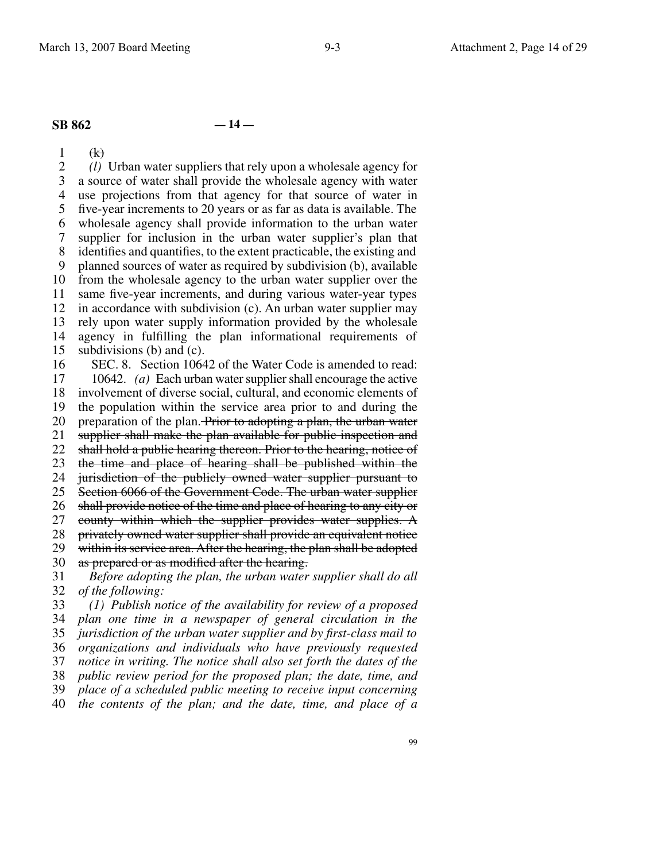## **SB 862 — 14 —**

1 2 3 4 5 6 7 8 9 10 11 12 13 14 15 16 17 18 19 20 21 22 23 24 25 26 27 28 29 30 31 32 33  $\bigoplus$ *(l)* Urban water suppliers that rely upon a wholesale agency for a source of water shall provide the wholesale agency with water use projections from that agency for that source of water in five-year increments to 20 years or as far as data is available. The wholesale agency shall provide information to the urban water supplier for inclusion in the urban water supplier's plan that identifies and quantifies, to the extent practicable, the existing and planned sources of water as required by subdivision (b), available from the wholesale agency to the urban water supplier over the same five-year increments, and during various water-year types in accordance with subdivision (c). An urban water supplier may rely upon water supply information provided by the wholesale agency in fulfilling the plan informational requirements of subdivisions (b) and (c). SEC. 8. Section 10642 of the Water Code is amended to read: 10642. *(a)* Each urban water supplier shall encourage the active involvement of diverse social, cultural, and economic elements of the population within the service area prior to and during the preparation of the plan. Prior to adopting a plan, the urban water supplier shall make the plan available for public inspection and shall hold a public hearing thereon. Prior to the hearing, notice of the time and place of hearing shall be published within the jurisdiction of the publicly owned water supplier pursuant to Section 6066 of the Government Code. The urban water supplier shall provide notice of the time and place of hearing to any city or county within which the supplier provides water supplies. A privately owned water supplier shall provide an equivalent notice within its service area. After the hearing, the plan shall be adopted as prepared or as modified after the hearing. *Before adopting the plan, the urban water supplier shall do all of the following: (1) Publish notice of the availability for review of a proposed*

34 35 36 37 38 39 40 *plan one time in a newspaper of general circulation in the jurisdiction of the urban water supplier and by first-class mail to organizations and individuals who have previously requested notice in writing. The notice shall also set forth the dates of the public review period for the proposed plan; the date, time, and place of a scheduled public meeting to receive input concerning the contents of the plan; and the date, time, and place of a*

99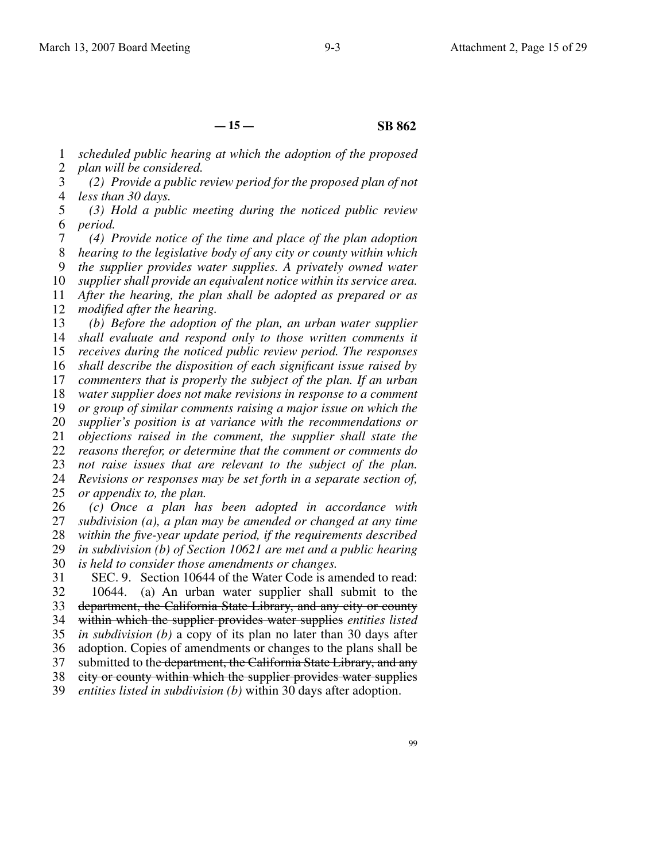**— 15 — SB 862**

1 2 *scheduled public hearing at which the adoption of the proposed plan will be considered.*

3 4 *(2) Provide a public review period for the proposed plan of not less than 30 days.*

5 6 *(3) Hold a public meeting during the noticed public review period.*

7 8 9 10 11 12 *(4) Provide notice of the time and place of the plan adoption hearing to the legislative body of any city or county within which the supplier provides water supplies. A privately owned water supplier shall provide an equivalent notice within its service area. After the hearing, the plan shall be adopted as prepared or as modified after the hearing.*

13 14 15 16 17 18 19 20 21 22 23 24 25 26 *(b) Before the adoption of the plan, an urban water supplier shall evaluate and respond only to those written comments it receives during the noticed public review period. The responses shall describe the disposition of each significant issue raised by commenters that is properly the subject of the plan. If an urban water supplier does not make revisions in response to a comment or group of similar comments raising a major issue on which the supplier's position is at variance with the recommendations or objections raised in the comment, the supplier shall state the reasons therefor, or determine that the comment or comments do not raise issues that are relevant to the subject of the plan. Revisions or responses may be set forth in a separate section of, or appendix to, the plan. (c) Once a plan has been adopted in accordance with*

27 28 29 30 *subdivision (a), a plan may be amended or changed at any time within the five-year update period, if the requirements described in subdivision (b) of Section 10621 are met and a public hearing is held to consider those amendments or changes.*

31 32 33 34 35 36 37 38 SEC. 9. Section 10644 of the Water Code is amended to read: 10644. (a) An urban water supplier shall submit to the department, the California State Library, and any city or county within which the supplier provides water supplies *entities listed in subdivision (b)* a copy of its plan no later than 30 days after adoption. Copies of amendments or changes to the plans shall be submitted to the department, the California State Library, and any city or county within which the supplier provides water supplies

39 *entities listed in subdivision (b)* within 30 days after adoption.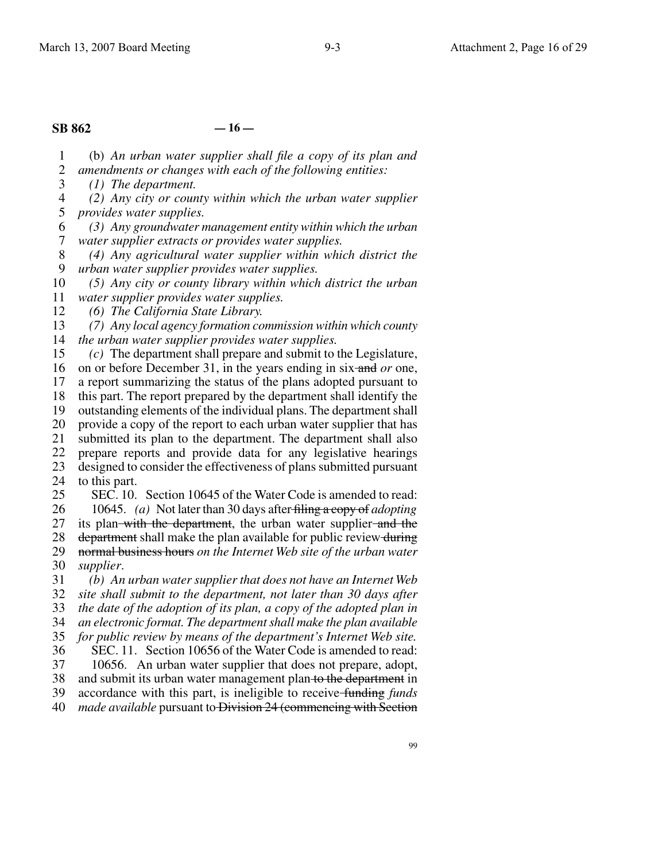# **SB 862 — 16 —**

1 2 (b) *An urban water supplier shall file a copy of its plan and amendments or changes with each of the following entities:*

3 *(1) The department.*

4 5 *(2) Any city or county within which the urban water supplier provides water supplies.*

6 7 *(3) Any groundwater management entity within which the urban water supplier extracts or provides water supplies.*

8 9 *(4) Any agricultural water supplier within which district the urban water supplier provides water supplies.*

10 *(5) Any city or county library within which district the urban*

11 *water supplier provides water supplies.*

12 *(6) The California State Library.*

13 14 *(7) Any local agency formation commission within which county the urban water supplier provides water supplies.*

15 *(c)* The department shall prepare and submit to the Legislature,

16 on or before December 31, in the years ending in six and *or* one,

17 18 a report summarizing the status of the plans adopted pursuant to this part. The report prepared by the department shall identify the

19 outstanding elements of the individual plans. The department shall

20 provide a copy of the report to each urban water supplier that has

21 submitted its plan to the department. The department shall also

22 23 prepare reports and provide data for any legislative hearings designed to consider the effectiveness of plans submitted pursuant

24 to this part.

25 SEC. 10. Section 10645 of the Water Code is amended to read:

26 10645. *(a)* Not later than 30 days after filing a copy of *adopting*

27 its plan with the department, the urban water supplier and the

28 29 department shall make the plan available for public review during normal business hours *on the Internet Web site of the urban water*

30 *supplier*.

31 *(b) An urban water supplier that does not have an Internet Web*

32 *site shall submit to the department, not later than 30 days after*

33 *the date of the adoption of its plan, a copy of the adopted plan in*

34 *an electronic format. The department shall make the plan available*

35 36 *for public review by means of the department's Internet Web site.* SEC. 11. Section 10656 of the Water Code is amended to read:

37 10656. An urban water supplier that does not prepare, adopt,

38 and submit its urban water management plan to the department in

39 accordance with this part, is ineligible to receive funding *funds*

40 *made available* pursuant to Division 24 (commencing with Section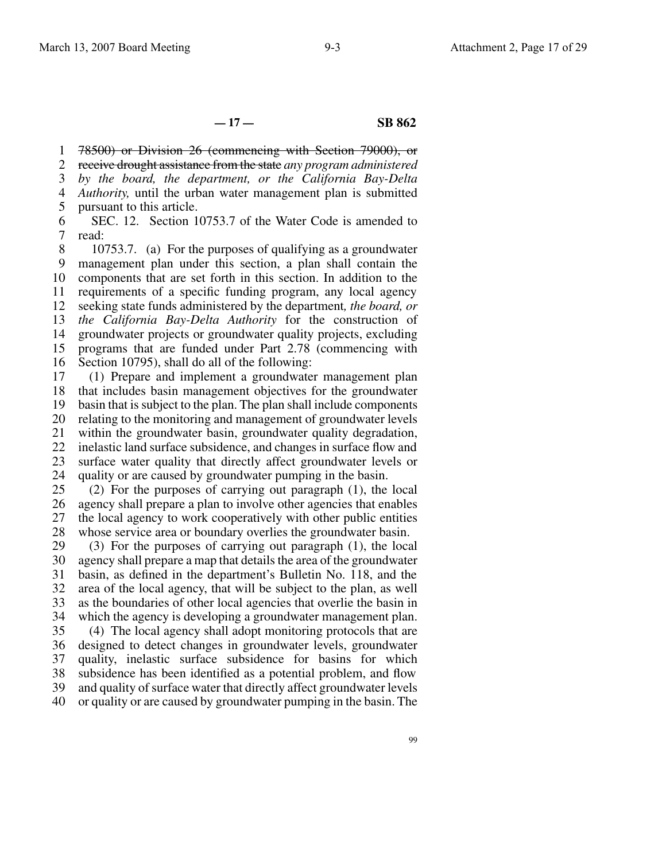**— 17 — SB 862**

1 2 3 4 5 78500) or Division 26 (commencing with Section 79000), or receive drought assistance from the state *any program administered by the board, the department, or the California Bay-Delta Authority,* until the urban water management plan is submitted pursuant to this article.

6 7 SEC. 12. Section 10753.7 of the Water Code is amended to read:

8 9 10 11 12 13 14 15 16 10753.7. (a) For the purposes of qualifying as a groundwater management plan under this section, a plan shall contain the components that are set forth in this section. In addition to the requirements of a specific funding program, any local agency seeking state funds administered by the department*, the board, or the California Bay-Delta Authority* for the construction of groundwater projects or groundwater quality projects, excluding programs that are funded under Part 2.78 (commencing with Section 10795), shall do all of the following:

17 18 19 20 21 22 23 24 (1) Prepare and implement a groundwater management plan that includes basin management objectives for the groundwater basin that is subject to the plan. The plan shall include components relating to the monitoring and management of groundwater levels within the groundwater basin, groundwater quality degradation, inelastic land surface subsidence, and changes in surface flow and surface water quality that directly affect groundwater levels or quality or are caused by groundwater pumping in the basin.

25 26 27 28 (2) For the purposes of carrying out paragraph (1), the local agency shall prepare a plan to involve other agencies that enables the local agency to work cooperatively with other public entities whose service area or boundary overlies the groundwater basin.

29 30 31 32 33 34 (3) For the purposes of carrying out paragraph (1), the local agency shall prepare a map that details the area of the groundwater basin, as defined in the department's Bulletin No. 118, and the area of the local agency, that will be subject to the plan, as well as the boundaries of other local agencies that overlie the basin in which the agency is developing a groundwater management plan.

35 36 37 38 39 (4) The local agency shall adopt monitoring protocols that are designed to detect changes in groundwater levels, groundwater quality, inelastic surface subsidence for basins for which subsidence has been identified as a potential problem, and flow and quality of surface water that directly affect groundwater levels

40 or quality or are caused by groundwater pumping in the basin. The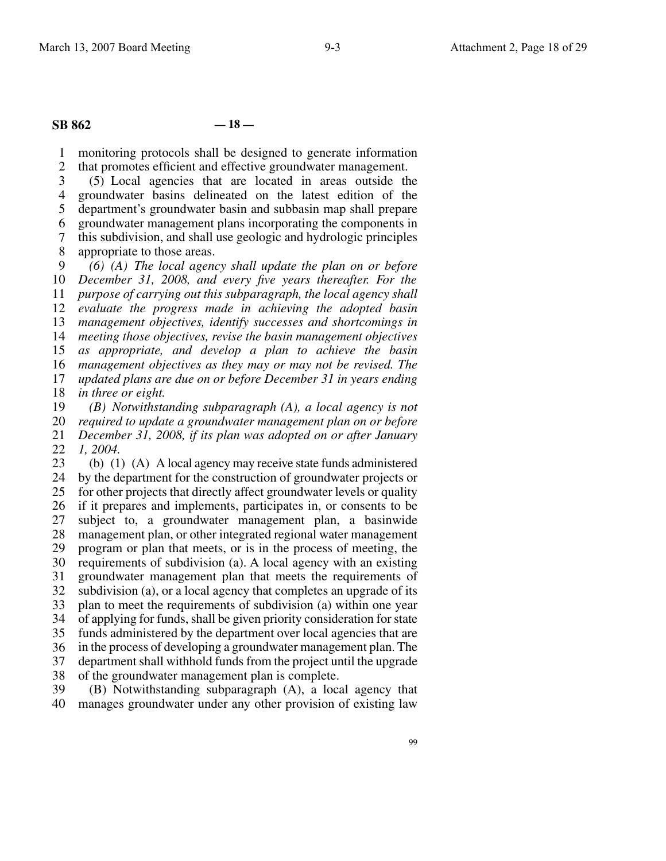## **SB 862 — 18 —**

1 2 monitoring protocols shall be designed to generate information that promotes efficient and effective groundwater management.

3 4 5 6 7 (5) Local agencies that are located in areas outside the groundwater basins delineated on the latest edition of the department's groundwater basin and subbasin map shall prepare groundwater management plans incorporating the components in this subdivision, and shall use geologic and hydrologic principles

8 appropriate to those areas.

9 10 11 12 13 14 15 16 17 18 *(6) (A) The local agency shall update the plan on or before December 31, 2008, and every five years thereafter. For the purpose of carrying out this subparagraph, the local agency shall evaluate the progress made in achieving the adopted basin management objectives, identify successes and shortcomings in meeting those objectives, revise the basin management objectives as appropriate, and develop a plan to achieve the basin management objectives as they may or may not be revised. The updated plans are due on or before December 31 in years ending in three or eight.*

19 20 21 22 *(B) Notwithstanding subparagraph (A), a local agency is not required to update a groundwater management plan on or before December 31, 2008, if its plan was adopted on or after January 1, 2004.*

23 24 25 26 27 28 29 30 31 32 33 34 35 36 37 38 (b) (1) (A) A local agency may receive state funds administered by the department for the construction of groundwater projects or for other projects that directly affect groundwater levels or quality if it prepares and implements, participates in, or consents to be subject to, a groundwater management plan, a basinwide management plan, or other integrated regional water management program or plan that meets, or is in the process of meeting, the requirements of subdivision (a). A local agency with an existing groundwater management plan that meets the requirements of subdivision (a), or a local agency that completes an upgrade of its plan to meet the requirements of subdivision (a) within one year of applying for funds, shall be given priority consideration for state funds administered by the department over local agencies that are in the process of developing a groundwater management plan. The department shall withhold funds from the project until the upgrade of the groundwater management plan is complete.

39 40 (B) Notwithstanding subparagraph (A), a local agency that manages groundwater under any other provision of existing law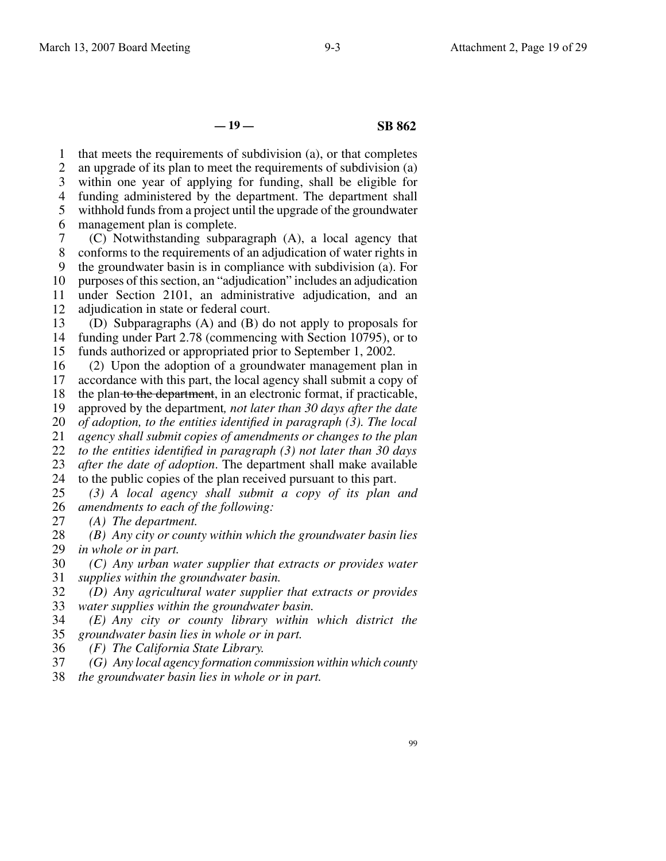**— 19 — SB 862**

1 2 3 4 5 6 7 8 9 10 11 that meets the requirements of subdivision (a), or that completes an upgrade of its plan to meet the requirements of subdivision (a) within one year of applying for funding, shall be eligible for funding administered by the department. The department shall withhold funds from a project until the upgrade of the groundwater management plan is complete. (C) Notwithstanding subparagraph (A), a local agency that conforms to the requirements of an adjudication of water rights in the groundwater basin is in compliance with subdivision (a). For purposes of this section, an "adjudication" includes an adjudication under Section 2101, an administrative adjudication, and an

12 adjudication in state or federal court.

13 14 15 (D) Subparagraphs (A) and (B) do not apply to proposals for funding under Part 2.78 (commencing with Section 10795), or to funds authorized or appropriated prior to September 1, 2002.

16 17 18 (2) Upon the adoption of a groundwater management plan in accordance with this part, the local agency shall submit a copy of the plan to the department, in an electronic format, if practicable,

19 approved by the department*, not later than 30 days after the date*

20 *of adoption, to the entities identified in paragraph (3). The local*

21 *agency shall submit copies of amendments or changes to the plan*

22 *to the entities identified in paragraph (3) not later than 30 days*

23 *after the date of adoption*. The department shall make available

24 to the public copies of the plan received pursuant to this part.

25 26 *(3) A local agency shall submit a copy of its plan and amendments to each of the following:*

27 *(A) The department.*

28 29 *(B) Any city or county within which the groundwater basin lies in whole or in part.*

30 31 *(C) Any urban water supplier that extracts or provides water supplies within the groundwater basin.*

32 33 *(D) Any agricultural water supplier that extracts or provides water supplies within the groundwater basin.*

34 35 *(E) Any city or county library within which district the groundwater basin lies in whole or in part.*

36 *(F) The California State Library.*

37 *(G) Any local agency formation commission within which county*

38 *the groundwater basin lies in whole or in part.*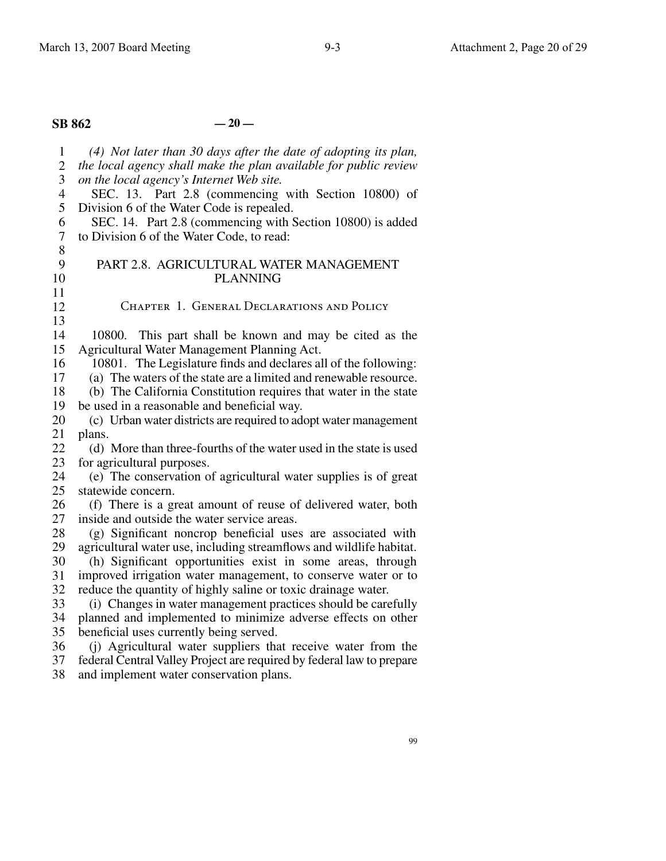# **SB 862 — 20 —**

| $\mathbf{1}$             | (4) Not later than 30 days after the date of adopting its plan,       |
|--------------------------|-----------------------------------------------------------------------|
| $\mathbf{2}$             | the local agency shall make the plan available for public review      |
| 3                        | on the local agency's Internet Web site.                              |
| $\overline{\mathcal{A}}$ | SEC. 13. Part 2.8 (commencing with Section 10800) of                  |
| 5                        | Division 6 of the Water Code is repealed.                             |
| 6                        | SEC. 14. Part 2.8 (commencing with Section 10800) is added            |
| $\tau$                   | to Division 6 of the Water Code, to read:                             |
| 8                        |                                                                       |
| 9                        | PART 2.8. AGRICULTURAL WATER MANAGEMENT                               |
| 10                       | <b>PLANNING</b>                                                       |
| 11                       |                                                                       |
| 12                       | CHAPTER 1. GENERAL DECLARATIONS AND POLICY                            |
| 13                       |                                                                       |
| 14                       | 10800. This part shall be known and may be cited as the               |
| 15                       | Agricultural Water Management Planning Act.                           |
| 16                       | 10801. The Legislature finds and declares all of the following:       |
| 17                       | (a) The waters of the state are a limited and renewable resource.     |
| 18                       | (b) The California Constitution requires that water in the state      |
| 19                       | be used in a reasonable and beneficial way.                           |
| 20                       | (c) Urban water districts are required to adopt water management      |
| 21                       | plans.                                                                |
| 22                       | (d) More than three-fourths of the water used in the state is used    |
| 23                       | for agricultural purposes.                                            |
| 24                       | (e) The conservation of agricultural water supplies is of great       |
| 25                       | statewide concern.                                                    |
| 26                       | (f) There is a great amount of reuse of delivered water, both         |
| 27                       | inside and outside the water service areas.                           |
| 28                       | (g) Significant noncrop beneficial uses are associated with           |
| 29                       | agricultural water use, including streamflows and wildlife habitat.   |
| 30                       | (h) Significant opportunities exist in some areas, through            |
| 31                       | improved irrigation water management, to conserve water or to         |
| 32                       | reduce the quantity of highly saline or toxic drainage water.         |
| 33                       | (i) Changes in water management practices should be carefully         |
| 34                       | planned and implemented to minimize adverse effects on other          |
| 35                       | beneficial uses currently being served.                               |
| 36                       | (i) Agricultural water suppliers that receive water from the          |
| 37                       | federal Central Valley Project are required by federal law to prepare |

38 and implement water conservation plans.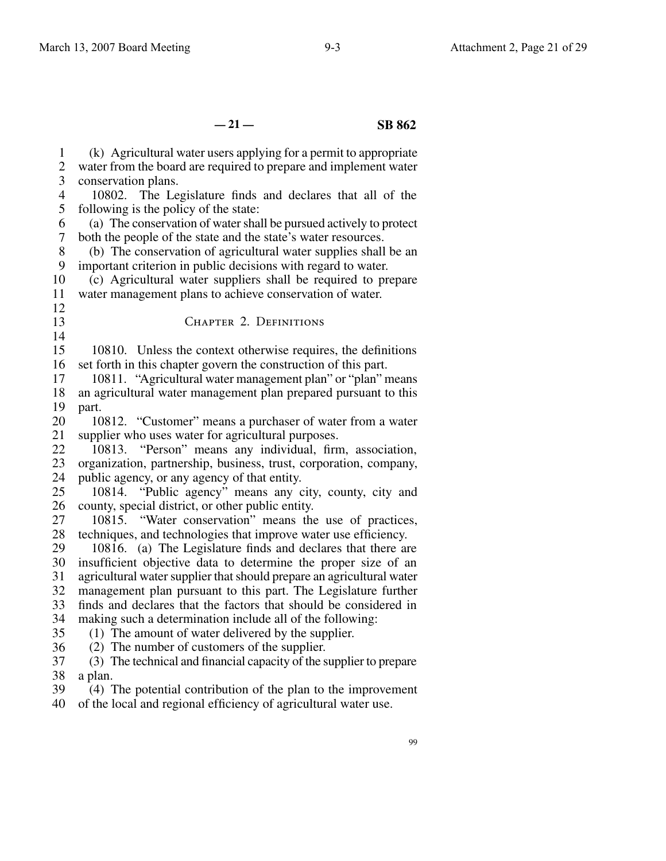| $\mathbf{1}$   | (k) Agricultural water users applying for a permit to appropriate     |
|----------------|-----------------------------------------------------------------------|
| $\overline{c}$ | water from the board are required to prepare and implement water      |
| $\overline{3}$ | conservation plans.                                                   |
| $\overline{4}$ | 10802. The Legislature finds and declares that all of the             |
| 5              | following is the policy of the state:                                 |
| 6              | (a) The conservation of water shall be pursued actively to protect    |
| $\tau$         | both the people of the state and the state's water resources.         |
| $8\,$          | (b) The conservation of agricultural water supplies shall be an       |
| 9              | important criterion in public decisions with regard to water.         |
| 10             | (c) Agricultural water suppliers shall be required to prepare         |
| 11             | water management plans to achieve conservation of water.              |
| 12             |                                                                       |
| 13             | CHAPTER 2. DEFINITIONS                                                |
| 14             |                                                                       |
| 15             | 10810. Unless the context otherwise requires, the definitions         |
| 16             | set forth in this chapter govern the construction of this part.       |
| 17             | 10811. "Agricultural water management plan" or "plan" means           |
| 18             | an agricultural water management plan prepared pursuant to this       |
| 19             | part.                                                                 |
| 20             | 10812. "Customer" means a purchaser of water from a water             |
| 21             | supplier who uses water for agricultural purposes.                    |
| 22             | "Person" means any individual, firm, association,<br>10813.           |
| 23             | organization, partnership, business, trust, corporation, company,     |
| 24             | public agency, or any agency of that entity.                          |
| 25             | "Public agency" means any city, county, city and<br>10814.            |
| 26             | county, special district, or other public entity.                     |
| 27             | "Water conservation" means the use of practices,<br>10815.            |
| 28             | techniques, and technologies that improve water use efficiency.       |
| 29             | 10816. (a) The Legislature finds and declares that there are          |
| 30             | insufficient objective data to determine the proper size of an        |
| 31             | agricultural water supplier that should prepare an agricultural water |
| 32             | management plan pursuant to this part. The Legislature further        |
| 33             | finds and declares that the factors that should be considered in      |
| 34             | making such a determination include all of the following:             |
| 35             | (1) The amount of water delivered by the supplier.                    |
| 36             | (2) The number of customers of the supplier.                          |
| 37             | (3) The technical and financial capacity of the supplier to prepare   |
| 38             | a plan.                                                               |
| 39             | (4) The potential contribution of the plan to the improvement         |

40 of the local and regional efficiency of agricultural water use.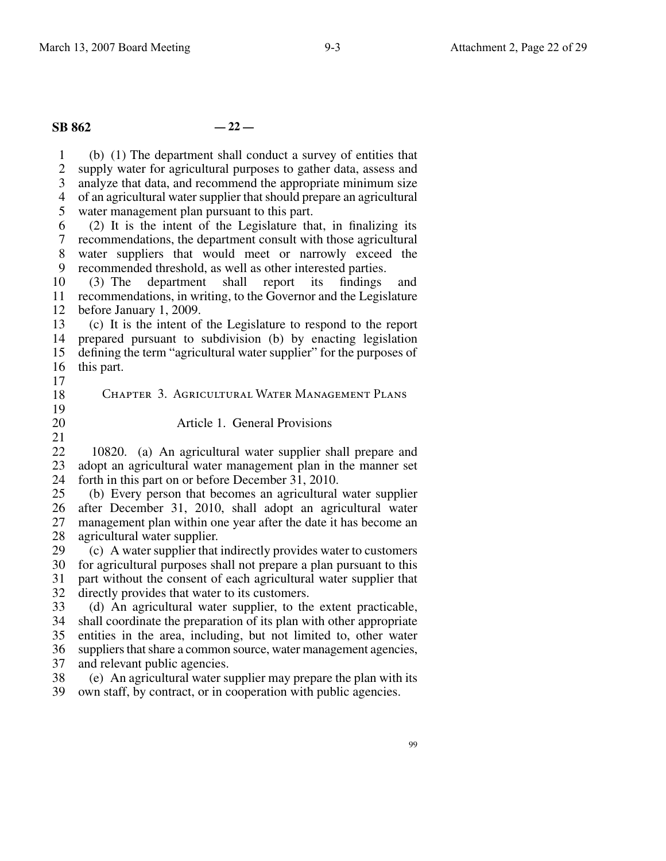# **SB 862 — 22 —**

1  $\mathcal{L}$ 3 4 5 6 (b) (1) The department shall conduct a survey of entities that supply water for agricultural purposes to gather data, assess and analyze that data, and recommend the appropriate minimum size of an agricultural water supplier that should prepare an agricultural water management plan pursuant to this part. (2) It is the intent of the Legislature that, in finalizing its

7 8 9 recommendations, the department consult with those agricultural water suppliers that would meet or narrowly exceed the recommended threshold, as well as other interested parties.

10 11 recommendations, in writing, to the Governor and the Legislature 12 (3) The department shall report its findings and before January 1, 2009.

13 14 15 16 (c) It is the intent of the Legislature to respond to the report prepared pursuant to subdivision (b) by enacting legislation defining the term "agricultural water supplier" for the purposes of this part.

- 17
- 18 19 20 21 Chapter 3. Agricultural Water Management Plans Article 1. General Provisions

22 23 24 10820. (a) An agricultural water supplier shall prepare and adopt an agricultural water management plan in the manner set forth in this part on or before December 31, 2010.

25 26 27 28 (b) Every person that becomes an agricultural water supplier after December 31, 2010, shall adopt an agricultural water management plan within one year after the date it has become an agricultural water supplier.

29 30 31 32 (c) A water supplier that indirectly provides water to customers for agricultural purposes shall not prepare a plan pursuant to this part without the consent of each agricultural water supplier that directly provides that water to its customers.

33 34 35 36 37 (d) An agricultural water supplier, to the extent practicable, shall coordinate the preparation of its plan with other appropriate entities in the area, including, but not limited to, other water suppliers that share a common source, water management agencies, and relevant public agencies.

38 39 (e) An agricultural water supplier may prepare the plan with its own staff, by contract, or in cooperation with public agencies.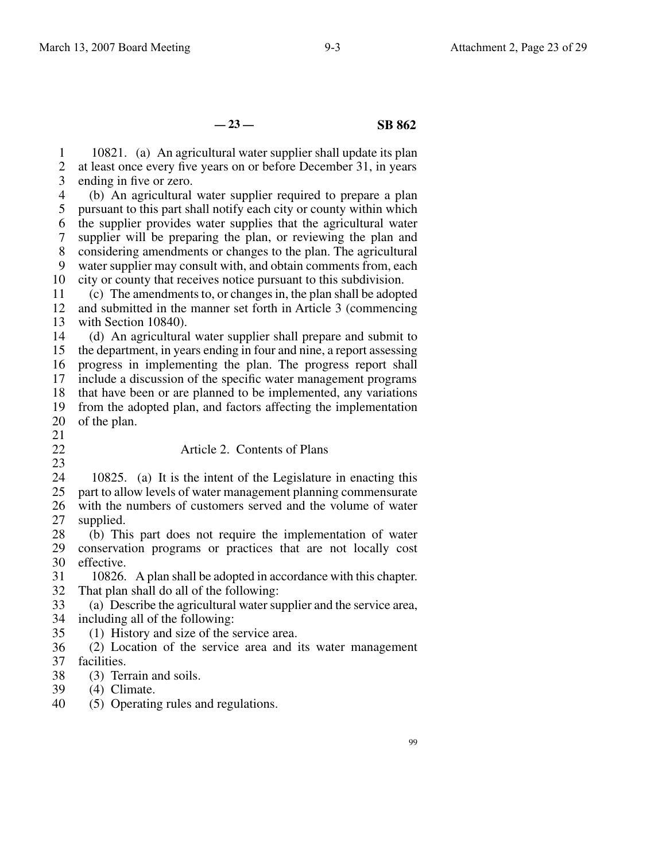**— 23 — SB 862**

1 2 3 10821. (a) An agricultural water supplier shall update its plan at least once every five years on or before December 31, in years ending in five or zero.

4 5 6 7 8 9 10 (b) An agricultural water supplier required to prepare a plan pursuant to this part shall notify each city or county within which the supplier provides water supplies that the agricultural water supplier will be preparing the plan, or reviewing the plan and considering amendments or changes to the plan. The agricultural water supplier may consult with, and obtain comments from, each city or county that receives notice pursuant to this subdivision.

11 12 13 (c) The amendments to, or changes in, the plan shall be adopted and submitted in the manner set forth in Article 3 (commencing with Section 10840).

14 15 16 17 18 19 (d) An agricultural water supplier shall prepare and submit to the department, in years ending in four and nine, a report assessing progress in implementing the plan. The progress report shall include a discussion of the specific water management programs that have been or are planned to be implemented, any variations from the adopted plan, and factors affecting the implementation

- 20 of the plan.
- 21 22

23

35

## Article 2. Contents of Plans

24 25 26 27 10825. (a) It is the intent of the Legislature in enacting this part to allow levels of water management planning commensurate with the numbers of customers served and the volume of water supplied.

28 29 30 (b) This part does not require the implementation of water conservation programs or practices that are not locally cost effective.

31 32 10826. A plan shall be adopted in accordance with this chapter. That plan shall do all of the following:

33 34 (a) Describe the agricultural water supplier and the service area, including all of the following:

(1) History and size of the service area.

36 37 (2) Location of the service area and its water management facilities.

- 38 (3) Terrain and soils.
- 39 (4) Climate.
- 40 (5) Operating rules and regulations.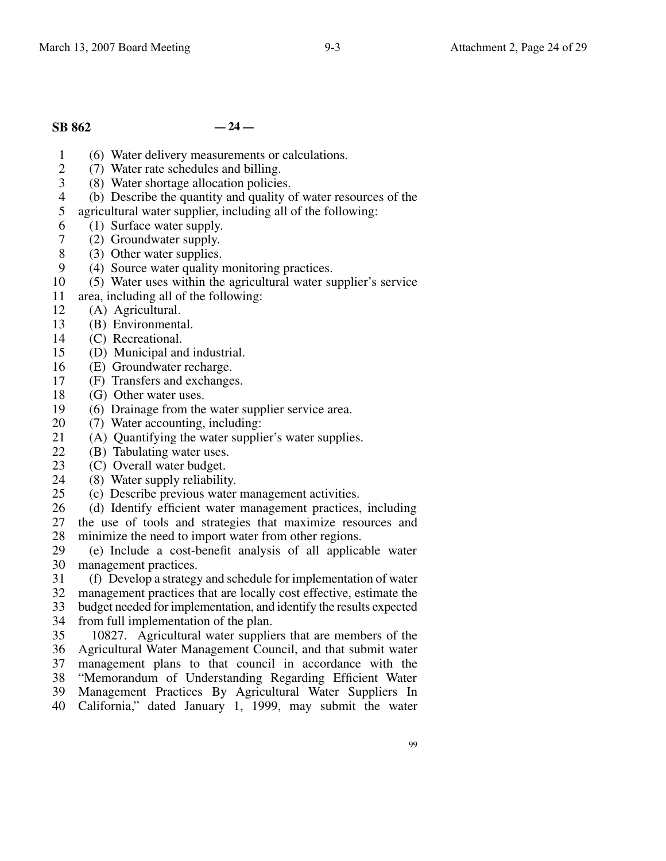# **SB 862 — 24 —**

- 1 (6) Water delivery measurements or calculations.
- $\mathfrak{D}$ (7) Water rate schedules and billing.
- 3 (8) Water shortage allocation policies.
- 4 (b) Describe the quantity and quality of water resources of the
- 5 agricultural water supplier, including all of the following:
- 6 (1) Surface water supply.
- 7 (2) Groundwater supply.
- 8 (3) Other water supplies.
- 9 (4) Source water quality monitoring practices.
- 10 (5) Water uses within the agricultural water supplier's service
- 11 area, including all of the following:
- 12 (A) Agricultural.
- 13 (B) Environmental.
- 14 (C) Recreational.
- 15 (D) Municipal and industrial.
- 16 (E) Groundwater recharge.
- 17 (F) Transfers and exchanges.
- 18 (G) Other water uses.
- 19 (6) Drainage from the water supplier service area.
- 20 (7) Water accounting, including:
- 21 (A) Quantifying the water supplier's water supplies.
- $22$ (B) Tabulating water uses.
- 23 (C) Overall water budget.
- 24 (8) Water supply reliability.
- 25 (c) Describe previous water management activities.
- 26 (d) Identify efficient water management practices, including
- 27 28 the use of tools and strategies that maximize resources and minimize the need to import water from other regions.
- 29 30 (e) Include a cost-benefit analysis of all applicable water management practices.
- 31 (f) Develop a strategy and schedule for implementation of water
- 32 management practices that are locally cost effective, estimate the
- 33 budget needed for implementation, and identify the results expected
- 34 from full implementation of the plan.
- 35 10827. Agricultural water suppliers that are members of the
- 36 Agricultural Water Management Council, and that submit water
- 37 38 management plans to that council in accordance with the
- 39 "Memorandum of Understanding Regarding Efficient Water
- 40 Management Practices By Agricultural Water Suppliers In California," dated January 1, 1999, may submit the water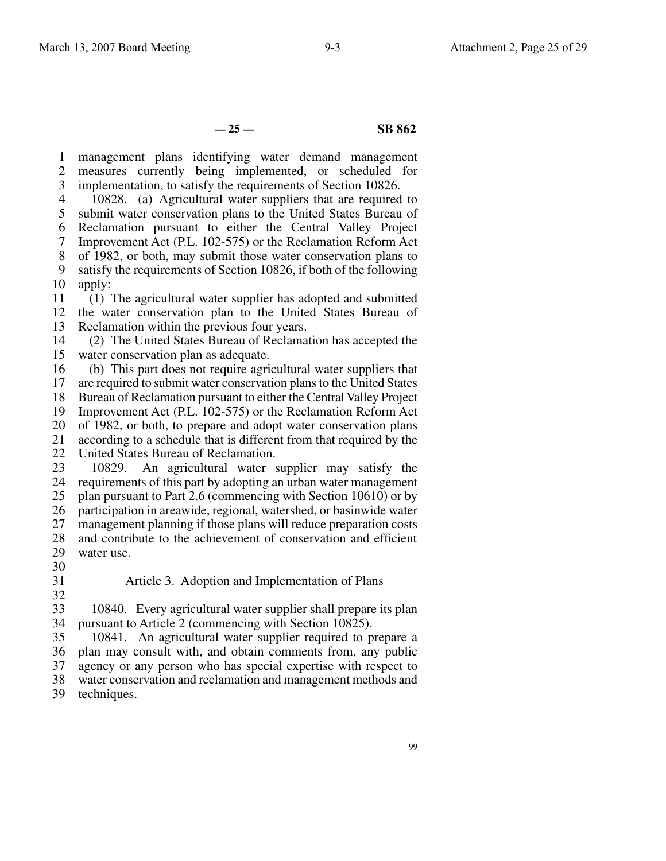**— 25 — SB 862**

1 2 3 management plans identifying water demand management measures currently being implemented, or scheduled for implementation, to satisfy the requirements of Section 10826.

4 5 6 7 8 9 10 10828. (a) Agricultural water suppliers that are required to submit water conservation plans to the United States Bureau of Reclamation pursuant to either the Central Valley Project Improvement Act (P.L. 102-575) or the Reclamation Reform Act of 1982, or both, may submit those water conservation plans to satisfy the requirements of Section 10826, if both of the following apply:

11 12 13 (1) The agricultural water supplier has adopted and submitted the water conservation plan to the United States Bureau of Reclamation within the previous four years.

14 15 (2) The United States Bureau of Reclamation has accepted the water conservation plan as adequate.

16 (b) This part does not require agricultural water suppliers that

17 18 are required to submit water conservation plans to the United States Bureau of Reclamation pursuant to either the Central Valley Project

19 Improvement Act (P.L. 102-575) or the Reclamation Reform Act

20 of 1982, or both, to prepare and adopt water conservation plans

21 according to a schedule that is different from that required by the

22 United States Bureau of Reclamation.

23 24 25 26 27 28 29 10829. An agricultural water supplier may satisfy the requirements of this part by adopting an urban water management plan pursuant to Part 2.6 (commencing with Section 10610) or by participation in areawide, regional, watershed, or basinwide water management planning if those plans will reduce preparation costs and contribute to the achievement of conservation and efficient water use.

30

31

Article 3. Adoption and Implementation of Plans

32

33 10840. Every agricultural water supplier shall prepare its plan

34 pursuant to Article 2 (commencing with Section 10825).

35 36 10841. An agricultural water supplier required to prepare a plan may consult with, and obtain comments from, any public

37 agency or any person who has special expertise with respect to

38 water conservation and reclamation and management methods and

39 techniques.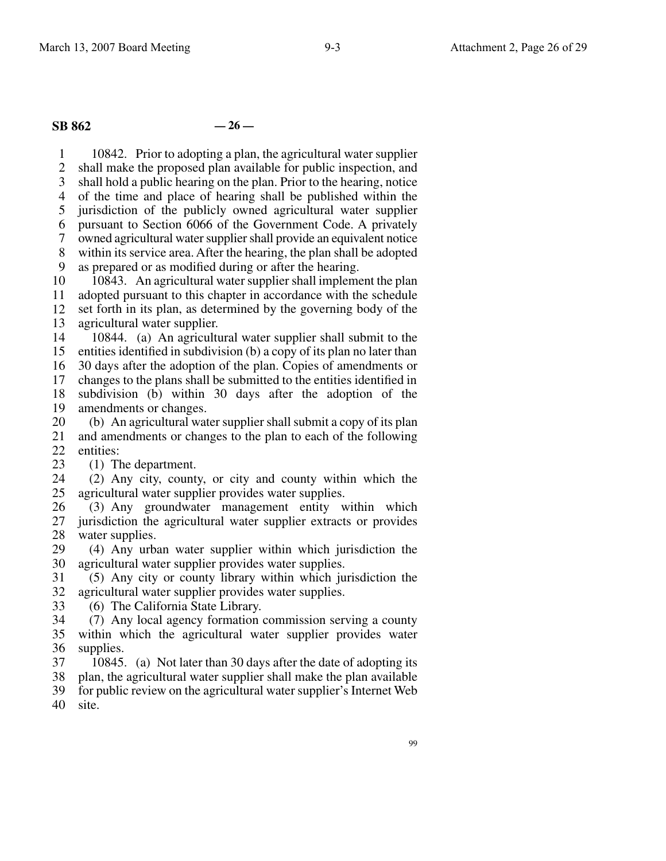# **SB 862 — 26 —**

1 2 3 4 5 6 7 8 9 10842. Prior to adopting a plan, the agricultural water supplier shall make the proposed plan available for public inspection, and shall hold a public hearing on the plan. Prior to the hearing, notice of the time and place of hearing shall be published within the jurisdiction of the publicly owned agricultural water supplier pursuant to Section 6066 of the Government Code. A privately owned agricultural water supplier shall provide an equivalent notice within its service area. After the hearing, the plan shall be adopted as prepared or as modified during or after the hearing.

10 11 12 13 10843. An agricultural water supplier shall implement the plan adopted pursuant to this chapter in accordance with the schedule set forth in its plan, as determined by the governing body of the agricultural water supplier.

14 15 16 17 18 19 10844. (a) An agricultural water supplier shall submit to the entities identified in subdivision (b) a copy of its plan no later than 30 days after the adoption of the plan. Copies of amendments or changes to the plans shall be submitted to the entities identified in subdivision (b) within 30 days after the adoption of the amendments or changes.

20 21 22 (b) An agricultural water supplier shall submit a copy of its plan and amendments or changes to the plan to each of the following entities:

23 (1) The department.

24 25 (2) Any city, county, or city and county within which the agricultural water supplier provides water supplies.

26 27 28 (3) Any groundwater management entity within which jurisdiction the agricultural water supplier extracts or provides water supplies.

29 30 (4) Any urban water supplier within which jurisdiction the agricultural water supplier provides water supplies.

31 32 (5) Any city or county library within which jurisdiction the agricultural water supplier provides water supplies.

33 (6) The California State Library.

34 35 36 (7) Any local agency formation commission serving a county within which the agricultural water supplier provides water supplies.

37 10845. (a) Not later than 30 days after the date of adopting its

38 39 plan, the agricultural water supplier shall make the plan available for public review on the agricultural water supplier's Internet Web

40 site.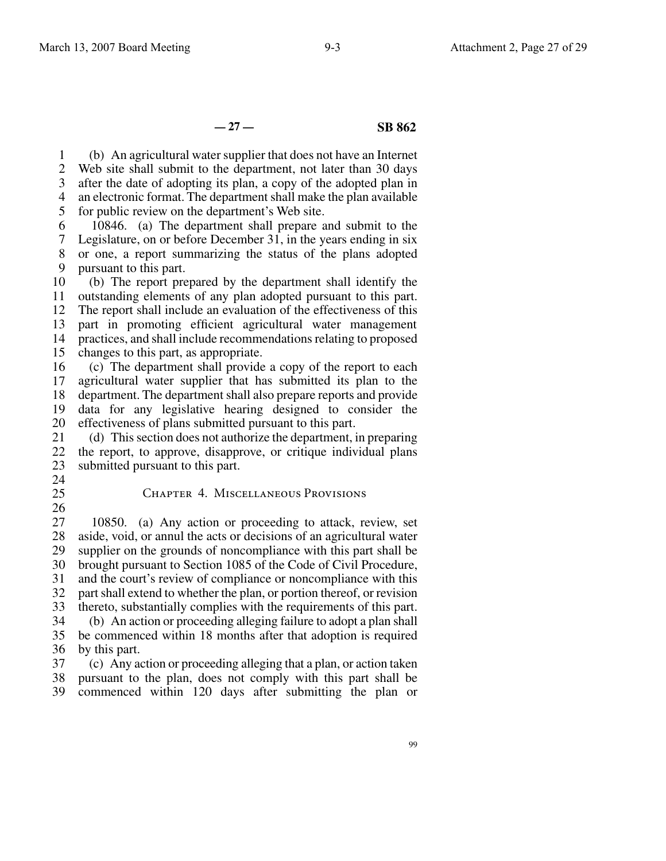**— 27 — SB 862**

1 2 3 4 5 (b) An agricultural water supplier that does not have an Internet Web site shall submit to the department, not later than 30 days after the date of adopting its plan, a copy of the adopted plan in an electronic format. The department shall make the plan available for public review on the department's Web site.

6 7 8 9 10846. (a) The department shall prepare and submit to the Legislature, on or before December 31, in the years ending in six or one, a report summarizing the status of the plans adopted pursuant to this part.

10 (b) The report prepared by the department shall identify the

11 outstanding elements of any plan adopted pursuant to this part.

12 13 The report shall include an evaluation of the effectiveness of this part in promoting efficient agricultural water management

14 15 practices, and shall include recommendations relating to proposed changes to this part, as appropriate.

16 17 18 19 20 (c) The department shall provide a copy of the report to each agricultural water supplier that has submitted its plan to the department. The department shall also prepare reports and provide data for any legislative hearing designed to consider the effectiveness of plans submitted pursuant to this part.

21 22 23 (d) This section does not authorize the department, in preparing the report, to approve, disapprove, or critique individual plans submitted pursuant to this part.

24 25

26

### Chapter 4. Miscellaneous Provisions

27 28 29 30 31 32 33 34 35 36 10850. (a) Any action or proceeding to attack, review, set aside, void, or annul the acts or decisions of an agricultural water supplier on the grounds of noncompliance with this part shall be brought pursuant to Section 1085 of the Code of Civil Procedure, and the court's review of compliance or noncompliance with this part shall extend to whether the plan, or portion thereof, or revision thereto, substantially complies with the requirements of this part. (b) An action or proceeding alleging failure to adopt a plan shall be commenced within 18 months after that adoption is required by this part.

37 38 39 (c) Any action or proceeding alleging that a plan, or action taken pursuant to the plan, does not comply with this part shall be commenced within 120 days after submitting the plan or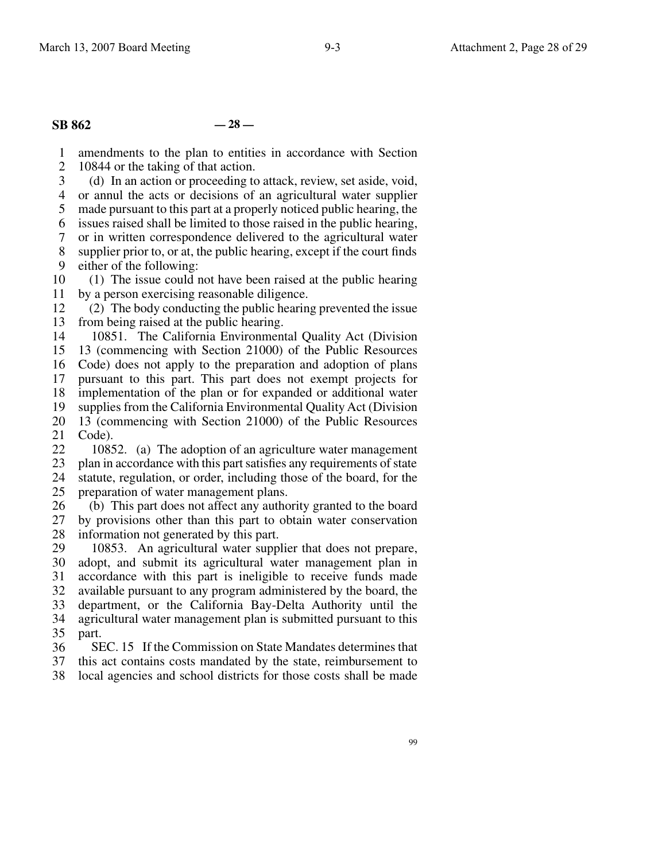## **SB 862 — 28 —**

1 amendments to the plan to entities in accordance with Section

2 10844 or the taking of that action.

3 4 (d) In an action or proceeding to attack, review, set aside, void, or annul the acts or decisions of an agricultural water supplier

5 made pursuant to this part at a properly noticed public hearing, the

6 issues raised shall be limited to those raised in the public hearing,

7 or in written correspondence delivered to the agricultural water

8 9 supplier prior to, or at, the public hearing, except if the court finds either of the following:

10 11 (1) The issue could not have been raised at the public hearing by a person exercising reasonable diligence.

12 13 (2) The body conducting the public hearing prevented the issue from being raised at the public hearing.

14 10851. The California Environmental Quality Act (Division

15 13 (commencing with Section 21000) of the Public Resources

16 17 Code) does not apply to the preparation and adoption of plans

18 pursuant to this part. This part does not exempt projects for implementation of the plan or for expanded or additional water

19 supplies from the California Environmental Quality Act (Division

20 21 13 (commencing with Section 21000) of the Public Resources Code).

22 23 24 10852. (a) The adoption of an agriculture water management plan in accordance with this part satisfies any requirements of state statute, regulation, or order, including those of the board, for the

25 preparation of water management plans.

26 27 28 (b) This part does not affect any authority granted to the board by provisions other than this part to obtain water conservation information not generated by this part.

29 30 31 32 33 34 35 10853. An agricultural water supplier that does not prepare, adopt, and submit its agricultural water management plan in accordance with this part is ineligible to receive funds made available pursuant to any program administered by the board, the department, or the California Bay-Delta Authority until the agricultural water management plan is submitted pursuant to this part.

36 37 SEC. 15 If the Commission on State Mandates determines that this act contains costs mandated by the state, reimbursement to

38 local agencies and school districts for those costs shall be made